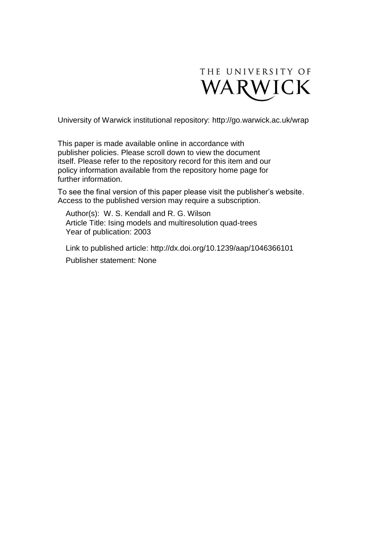

University of Warwick institutional repository:<http://go.warwick.ac.uk/wrap>

This paper is made available online in accordance with publisher policies. Please scroll down to view the document itself. Please refer to the repository record for this item and our policy information available from the repository home page for further information.

To see the final version of this paper please visit the publisher's website. Access to the published version may require a subscription.

Author(s): W. S. Kendall and R. G. Wilson Article Title: Ising models and multiresolution quad-trees Year of publication: 2003

Link to published article: http://dx.doi.org/10.1239/aap/1046366101 Publisher statement: None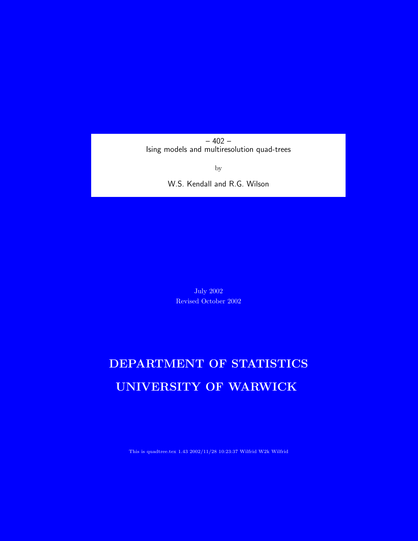– 402 – Ising models and multiresolution quad-trees

by

W.S. Kendall and R.G. Wilson

July 2002 Revised October 2002

# DEPARTMENT OF STATISTICS UNIVERSITY OF WARWICK

This is quadtree.tex 1.43 2002/11/28 10:23:37 Wilfrid W2k Wilfrid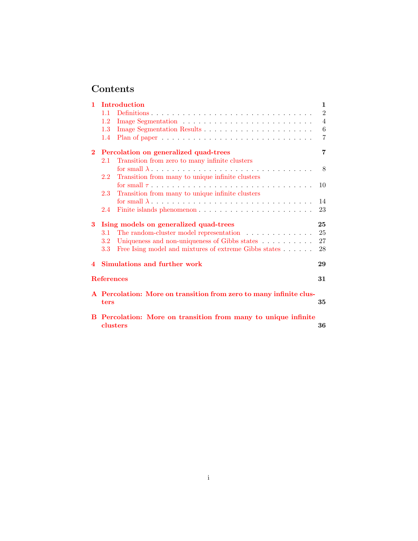# Contents

| $\mathbf{1}$   |                                                                                  | <b>Introduction</b>                                                                   | $\mathbf{1}$    |  |  |  |
|----------------|----------------------------------------------------------------------------------|---------------------------------------------------------------------------------------|-----------------|--|--|--|
|                | 11                                                                               |                                                                                       | $\overline{2}$  |  |  |  |
|                | 1.2                                                                              |                                                                                       | $\overline{4}$  |  |  |  |
|                | 1.3                                                                              |                                                                                       | $6\phantom{.}6$ |  |  |  |
|                | 1.4                                                                              | Plan of paper $\ldots \ldots \ldots \ldots \ldots \ldots \ldots \ldots \ldots \ldots$ | 7               |  |  |  |
| $\overline{2}$ | Percolation on generalized quad-trees                                            |                                                                                       |                 |  |  |  |
|                | 2.1                                                                              | Transition from zero to many infinite clusters                                        |                 |  |  |  |
|                |                                                                                  |                                                                                       | 8               |  |  |  |
|                | 2.2                                                                              | Transition from many to unique infinite clusters                                      |                 |  |  |  |
|                |                                                                                  |                                                                                       | 10              |  |  |  |
|                | 2.3                                                                              | Transition from many to unique infinite clusters                                      |                 |  |  |  |
|                |                                                                                  |                                                                                       | 14              |  |  |  |
|                | 2.4                                                                              |                                                                                       | 23              |  |  |  |
| $3 -$          | Ising models on generalized quad-trees                                           |                                                                                       |                 |  |  |  |
|                | 3.1                                                                              | The random-cluster model representation $\ldots \ldots \ldots \ldots$                 | 25              |  |  |  |
|                | $3.2\,$                                                                          | Uniqueness and non-uniqueness of Gibbs states                                         | 27              |  |  |  |
|                | 3.3                                                                              | Free Ising model and mixtures of extreme Gibbs states                                 | 28              |  |  |  |
| 4              |                                                                                  | Simulations and further work                                                          | 29              |  |  |  |
|                | <b>References</b><br>31                                                          |                                                                                       |                 |  |  |  |
|                | A Percolation: More on transition from zero to many infinite clus-<br>35<br>ters |                                                                                       |                 |  |  |  |
|                | B Percolation: More on transition from many to unique infinite<br>clusters<br>36 |                                                                                       |                 |  |  |  |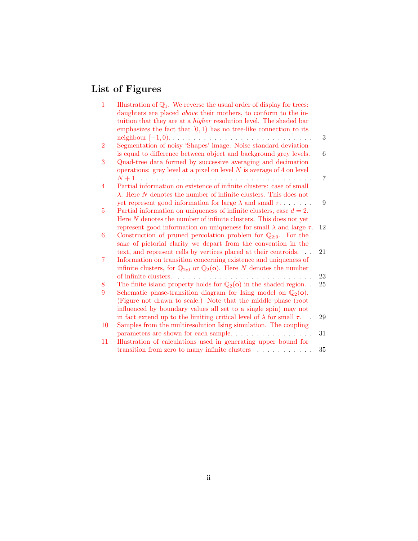# List of Figures

| $\mathbf{1}$   | Illustration of $\mathbb{Q}_1$ . We reverse the usual order of display for trees:<br>daughters are placed <i>above</i> their mothers, to conform to the in-    |    |
|----------------|----------------------------------------------------------------------------------------------------------------------------------------------------------------|----|
|                | tuition that they are at a <i>higher</i> resolution level. The shaded bar                                                                                      |    |
|                | emphasizes the fact that $[0,1)$ has no tree-like connection to its                                                                                            |    |
|                |                                                                                                                                                                | 3  |
| $\overline{2}$ | Segmentation of noisy 'Shapes' image. Noise standard deviation<br>is equal to difference between object and background grey levels.                            | 6  |
| 3              | Quad-tree data formed by successive averaging and decimation<br>operations: grey level at a pixel on level $N$ is average of 4 on level                        |    |
|                |                                                                                                                                                                | 7  |
| 4              | Partial information on existence of infinite clusters: case of small<br>$\lambda$ . Here N denotes the number of infinite clusters. This does not              |    |
|                | yet represent good information for large $\lambda$ and small $\tau$                                                                                            | 9  |
| 5              | Partial information on uniqueness of infinite clusters, case $d = 2$ .                                                                                         |    |
|                | Here $N$ denotes the number of infinite clusters. This does not yet                                                                                            |    |
|                |                                                                                                                                                                |    |
| 6              | represent good information on uniqueness for small $\lambda$ and large $\tau$ .<br>Construction of pruned percolation problem for $\mathbb{Q}_{2:0}$ . For the | 12 |
|                | sake of pictorial clarity we depart from the convention in the                                                                                                 |    |
|                |                                                                                                                                                                | 21 |
|                | text, and represent cells by vertices placed at their centroids                                                                                                |    |
| 7              | Information on transition concerning existence and uniqueness of                                                                                               |    |
|                | infinite clusters, for $\mathbb{Q}_{2:0}$ or $\mathbb{Q}_2(\mathbf{o})$ . Here N denotes the number                                                            |    |
|                | of infinite clusters.                                                                                                                                          | 23 |
| 8              | The finite island property holds for $\mathbb{Q}_2$ (o) in the shaded region                                                                                   | 25 |
| 9              | Schematic phase-transition diagram for Ising model on $\mathbb{Q}_2(\mathbf{o})$ .                                                                             |    |
|                | (Figure not drawn to scale.) Note that the middle phase (root                                                                                                  |    |
|                | influenced by boundary values all set to a single spin) may not                                                                                                |    |
|                | in fact extend up to the limiting critical level of $\lambda$ for small $\tau$ .                                                                               | 29 |
| 10             | Samples from the multiresolution Ising simulation. The coupling                                                                                                |    |
|                | parameters are shown for each sample                                                                                                                           | 31 |
| 11             | Illustration of calculations used in generating upper bound for                                                                                                |    |
|                | transition from zero to many infinite clusters                                                                                                                 | 35 |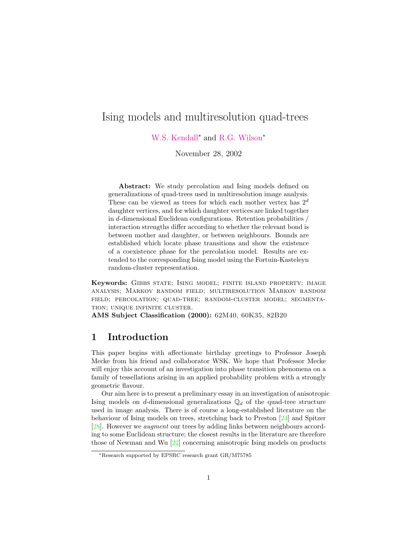# Ising models and multiresolution quad-trees

[W.S. Kendall](http://www.warwick.ac.uk/statsdept/Staff/WSK/)<sup>∗</sup> and [R.G. Wilson](http://www.dcs.warwick.ac.uk/~rgw)<sup>∗</sup>

November 28, 2002

Abstract: We study percolation and Ising models defined on generalizations of quad-trees used in multiresolution image analysis. These can be viewed as trees for which each mother vertex has  $2^d$ daughter vertices, and for which daughter vertices are linked together in d-dimensional Euclidean configurations. Retention probabilities / interaction strengths differ according to whether the relevant bond is between mother and daughter, or between neighbours. Bounds are established which locate phase transitions and show the existence of a coexistence phase for the percolation model. Results are extended to the corresponding Ising model using the Fortuin-Kasteleyn random-cluster representation.

Keywords: Gibbs state; Ising model; finite island property; image analysis; Markov random field; multiresolution Markov random field; percolation; quad-tree; random-cluster model; segmentation; unique infinite cluster.

AMS Subject Classification (2000): 62M40, 60K35, 82B20

#### <span id="page-4-0"></span>1 Introduction

This paper begins with affectionate birthday greetings to Professor Joseph Mecke from his friend and collaborator WSK. We hope that Professor Mecke will enjoy this account of an investigation into phase transition phenomena on a family of tessellations arising in an applied probability problem with a strongly geometric flavour.

Our aim here is to present a preliminary essay in an investigation of anisotropic Ising models on d-dimensional generalizations  $\mathbb{Q}_d$  of the quad-tree structure used in image analysis. There is of course a long-established literature on the behaviour of Ising models on trees, stretching back to Preston [\[24\]](#page-36-0) and Spitzer [\[28\]](#page-36-1). However we augment our trees by adding links between neighbours according to some Euclidean structure; the closest results in the literature are therefore those of Newman and Wu [\[22\]](#page-36-2) concerning anisotropic Ising models on products

<sup>∗</sup>Research supported by EPSRC research grant GR/M75785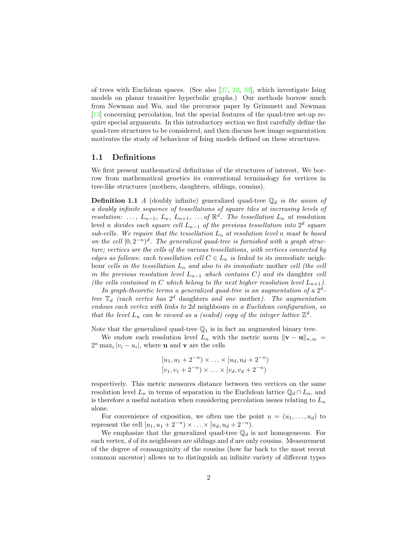of trees with Euclidean spaces. (See also [\[27,](#page-36-3) [32,](#page-37-0) [33\]](#page-37-1), which investigate Ising models on planar transitive hyperbolic graphs.) Our methods borrow much from Newman and Wu, and the precursor paper by Grimmett and Newman [\[13\]](#page-35-0) concerning percolation, but the special features of the quad-tree set-up require special arguments. In this introductory section we first carefully define the quad-tree structures to be considered, and then discuss how image segmentation motivates the study of behaviour of Ising models defined on these structures.

#### <span id="page-5-0"></span>1.1 Definitions

We first present mathematical definitions of the structures of interest. We borrow from mathematical genetics its conventional terminology for vertices in tree-like structures (mothers, daughters, siblings, cousins).

**Definition 1.1** A (doubly infinite) generalized quad-tree  $\mathbb{Q}_d$  is the union of a doubly infinite sequence of tessellations of square tiles at increasing levels of resolution: ...,  $L_{n-1}$ ,  $L_n$ ,  $L_{n+1}$ , ... of  $\mathbb{R}^d$ . The tessellation  $L_n$  at resolution level n divides each square cell  $L_{n-1}$  of the previous tessellation into  $2^d$  square sub-cells. We require that the tessellation  $L_n$  at resolution level n must be based on the cell  $[0,2^{-n})^d$ . The generalized quad-tree is furnished with a graph structure; vertices are the cells of the various tessellations, with vertices connected by edges as follows: each tessellation cell  $C \in L_n$  is linked to its immediate neighbour cells in the tessellation  $L_n$  and also to its immediate mother cell (the cell in the previous resolution level  $L_{n-1}$  which contains C) and its daughter cell (the cells contained in C which belong to the next higher resolution level  $L_{n+1}$ ).

In graph-theoretic terms a generalized quad-tree is an augmentation of a  $2^d$ tree  $\mathbb{T}_d$  (each vertex has  $2^d$  daughters and one mother). The augmentation endows each vertex with links to 2d neighbours in a Euclidean configuration, so that the level  $L_n$  can be viewed as a (scaled) copy of the integer lattice  $\mathbb{Z}^d$ .

Note that the generalized quad-tree  $\mathbb{Q}_1$  is in fact an augmented binary tree.

We endow each resolution level  $L_n$  with the metric norm  $\|\mathbf{v} - \mathbf{u}\|_{n,\infty} =$  $2^n \max_i |v_i - u_i|$ , where **u** and **v** are the cells

$$
[u_1, u_1 + 2^{-n}) \times \ldots \times [u_d, u_d + 2^{-n})
$$
  

$$
[v_1, v_1 + 2^{-n}) \times \ldots \times [v_d, v_d + 2^{-n})
$$

respectively. This metric measures distance between two vertices on the same resolution level  $L_n$  in terms of separation in the Euclidean lattice  $\mathbb{Q}_d \cap L_n$ , and is therefore a useful notation when considering percolation issues relating to  $L_n$ alone.

For convenience of exposition, we often use the point  $u = (u_1, \ldots, u_d)$  to represent the cell  $[u_1, u_1 + 2^{-n}] \times ... \times [u_d, u_d + 2^{-n}).$ 

We emphasize that the generalized quad-tree  $\mathbb{Q}_d$  is not homogeneous. For each vertex, d of its neighbours are siblings and d are only cousins. Measurement of the degree of consanguinity of the cousins (how far back to the most recent common ancestor) allows us to distinguish an infinite variety of different types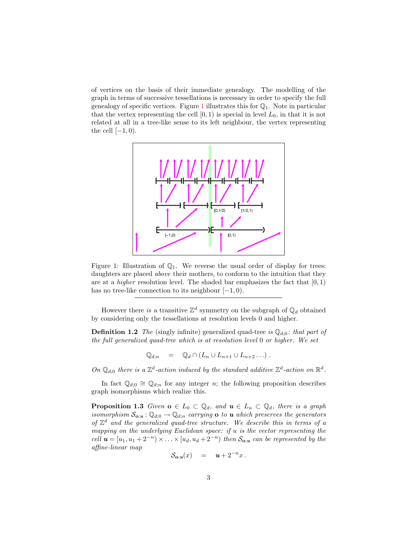of vertices on the basis of their immediate genealogy. The modelling of the graph in terms of successive tessellations is necessary in order to specify the full genealogy of specific vertices. Figure [1](#page-6-0) illustrates this for  $\mathbb{Q}_1$ . Note in particular that the vertex representing the cell  $[0, 1)$  is special in level  $L_0$ , in that it is not related at all in a tree-like sense to its left neighbour, the vertex representing the cell  $[-1, 0)$ .



<span id="page-6-0"></span>Figure 1: Illustration of  $\mathbb{Q}_1$ . We reverse the usual order of display for trees: daughters are placed *above* their mothers, to conform to the intuition that they are at a *higher* resolution level. The shaded bar emphasizes the fact that  $[0, 1)$ has no tree-like connection to its neighbour  $[-1, 0)$ .

However there is a transitive  $\mathbb{Z}^d$  symmetry on the subgraph of  $\mathbb{Q}_d$  obtained by considering only the tessellations at resolution levels 0 and higher.

**Definition 1.2** The (singly infinite) generalized quad-tree is  $\mathbb{Q}_{d;0}$ : that part of the full generalized quad-tree which is at resolution level 0 or higher. We set

$$
\mathbb{Q}_{d;n} = \mathbb{Q}_d \cap (L_n \cup L_{n+1} \cup L_{n+2} \dots).
$$

On  $\mathbb{Q}_{d,0}$  there is a  $\mathbb{Z}^d$ -action induced by the standard additive  $\mathbb{Z}^d$ -action on  $\mathbb{R}^d$ .

In fact  $\mathbb{Q}_{d,0} \cong \mathbb{Q}_{d,n}$  for any integer n; the following proposition describes graph isomorphisms which realize this.

<span id="page-6-2"></span><span id="page-6-1"></span>**Proposition 1.3** Given  $o \in L_0 \subset \mathbb{Q}_d$ , and  $u \in L_n \subset \mathbb{Q}_d$ , there is a graph isomorphism  $S_{\mathbf{o};\mathbf{u}} : \mathbb{Q}_{d;0} \to \mathbb{Q}_{d;n}$  carrying  $\mathbf{o}$  to  $\mathbf{u}$  which preserves the generators of  $\mathbb{Z}^d$  and the generalized quad-tree structure. We describe this in terms of a mapping on the underlying Euclidean space: if u is the vector representing the cell  $u = [u_1, u_1 + 2^{-n}] \times ... \times [u_d, u_d + 2^{-n}]$  then  $S_{\mathbf{o};u}$  can be represented by the affine-linear map

$$
\mathcal{S}_{\mathbf{o};\mathbf{u}}(x) = \mathbf{u} + 2^{-n}x.
$$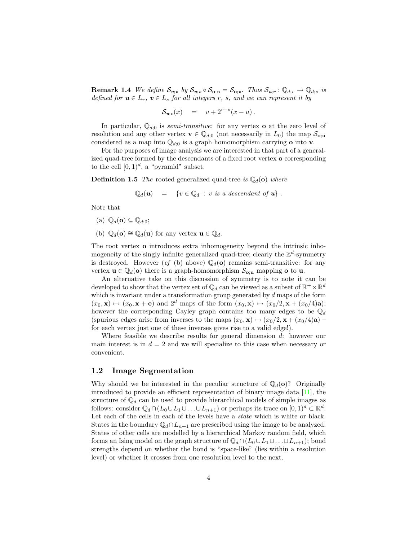**Remark 1.4** We define  $S_{u,v}$  by  $S_{u,v} \circ S_{o;u} = S_{o;v}$ . Thus  $S_{u,v} : \mathbb{Q}_{d;r} \to \mathbb{Q}_{d;s}$  is defined for  $u \in L_r$ ,  $v \in L_s$  for all integers r, s, and we can represent it by

$$
\mathcal{S}_{u; v}(x) = v + 2^{r-s}(x - u).
$$

In particular,  $\mathbb{Q}_{d,0}$  is *semi-transitive*: for any vertex **o** at the zero level of resolution and any other vertex  $\mathbf{v} \in \mathbb{Q}_{d,0}$  (not necessarily in  $L_0$ ) the map  $\mathcal{S}_{\mathbf{o};\mathbf{u}}$ considered as a map into  $\mathbb{Q}_{d,0}$  is a graph homomorphism carrying **o** into **v**.

For the purposes of image analysis we are interested in that part of a generalized quad-tree formed by the descendants of a fixed root vertex o corresponding to the cell  $[0,1)^d$ , a "pyramid" subset.

**Definition 1.5** The rooted generalized quad-tree is  $\mathbb{Q}_d(\mathbf{o})$  where

$$
\mathbb{Q}_d(\mathbf{u}) = \{ v \in \mathbb{Q}_d : v \text{ is a descendant of } \mathbf{u} \} .
$$

Note that

- (a)  $\mathbb{Q}_d(\mathbf{o}) \subseteq \mathbb{Q}_{d:0}$ ;
- (b)  $\mathbb{Q}_d(\mathbf{o}) \cong \mathbb{Q}_d(\mathbf{u})$  for any vertex  $\mathbf{u} \in \mathbb{Q}_d$ .

The root vertex o introduces extra inhomogeneity beyond the intrinsic inhomogeneity of the singly infinite generalized quad-tree; clearly the  $\mathbb{Z}^d$ -symmetry is destroyed. However (cf (b) above)  $\mathbb{Q}_d(\mathbf{o})$  remains semi-transitive: for any vertex  $\mathbf{u} \in \mathbb{Q}_d(\mathbf{o})$  there is a graph-homomorphism  $\mathcal{S}_{\mathbf{o}:\mathbf{u}}$  mapping  $\mathbf{o}$  to  $\mathbf{u}$ .

An alternative take on this discussion of symmetry is to note it can be developed to show that the vertex set of  $\mathbb{Q}_d$  can be viewed as a subset of  $\mathbb{R}^+ \times \mathbb{R}^d$ which is invariant under a transformation group generated by  $d$  maps of the form  $(x_0, \mathbf{x}) \mapsto (x_0, \mathbf{x} + \mathbf{e})$  and  $2^d$  maps of the form  $(x_0, \mathbf{x}) \mapsto (x_0/2, \mathbf{x} + (x_0/4)\mathbf{a});$ however the corresponding Cayley graph contains too many edges to be  $\mathbb{Q}_d$ (spurious edges arise from inverses to the maps  $(x_0, \mathbf{x}) \mapsto (x_0/2, \mathbf{x} + (x_0/4)a)$ for each vertex just one of these inverses gives rise to a valid edge!).

Where feasible we describe results for general dimension  $d$ : however our main interest is in  $d = 2$  and we will specialize to this case when necessary or convenient.

#### <span id="page-7-0"></span>1.2 Image Segmentation

Why should we be interested in the peculiar structure of  $\mathbb{Q}_d(\mathbf{o})$ ? Originally introduced to provide an efficient representation of binary image data [\[11\]](#page-35-1), the structure of  $\mathbb{Q}_d$  can be used to provide hierarchical models of simple images as follows: consider  $\mathbb{Q}_d \cap (L_0 \cup L_1 \cup \ldots \cup L_{n+1})$  or perhaps its trace on  $[0,1)^d \subset \mathbb{R}^d$ . Let each of the cells in each of the levels have a *state* which is white or black. States in the boundary  $\mathbb{Q}_d \cap L_{n+1}$  are prescribed using the image to be analyzed. States of other cells are modelled by a hierarchical Markov random field, which forms an Ising model on the graph structure of  $\mathbb{Q}_d \cap (L_0 \cup L_1 \cup \ldots \cup L_{n+1});$  bond strengths depend on whether the bond is "space-like" (lies within a resolution level) or whether it crosses from one resolution level to the next.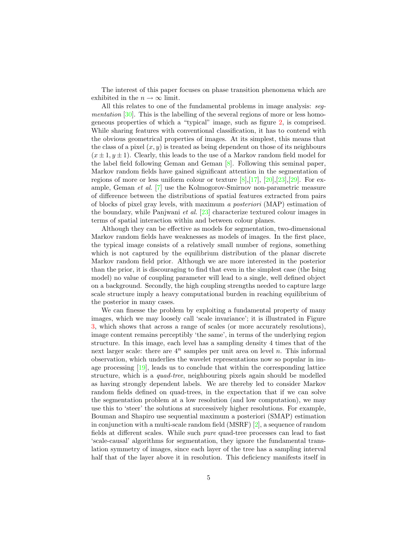The interest of this paper focuses on phase transition phenomena which are exhibited in the  $n \to \infty$  limit.

All this relates to one of the fundamental problems in image analysis: seg*mentation* [\[30\]](#page-36-4). This is the labelling of the several regions of more or less homogeneous properties of which a "typical" image, such as figure [2,](#page-9-1) is comprised. While sharing features with conventional classification, it has to contend with the obvious geometrical properties of images. At its simplest, this means that the class of a pixel  $(x, y)$  is treated as being dependent on those of its neighbours  $(x \pm 1, y \pm 1)$ . Clearly, this leads to the use of a Markov random field model for the label field following Geman and Geman [\[8\]](#page-35-2). Following this seminal paper, Markov random fields have gained significant attention in the segmentation of regions of more or less uniform colour or texture  $[8], [17], [20], [23], [29]$  $[8], [17], [20], [23], [29]$  $[8], [17], [20], [23], [29]$  $[8], [17], [20], [23], [29]$  $[8], [17], [20], [23], [29]$  $[8], [17], [20], [23], [29]$  $[8], [17], [20], [23], [29]$  $[8], [17], [20], [23], [29]$ . For example, Geman et al. [\[7\]](#page-35-4) use the Kolmogorov-Smirnov non-parametric measure of difference between the distributions of spatial features extracted from pairs of blocks of pixel gray levels, with maximum a posteriori (MAP) estimation of the boundary, while Panjwani *et al.* [\[23\]](#page-36-6) characterize textured colour images in terms of spatial interaction within and between colour planes.

Although they can be effective as models for segmentation, two-dimensional Markov random fields have weaknesses as models of images. In the first place, the typical image consists of a relatively small number of regions, something which is not captured by the equilibrium distribution of the planar discrete Markov random field prior. Although we are more interested in the posterior than the prior, it is discouraging to find that even in the simplest case (the Ising model) no value of coupling parameter will lead to a single, well defined object on a background. Secondly, the high coupling strengths needed to capture large scale structure imply a heavy computational burden in reaching equilibrium of the posterior in many cases.

We can finesse the problem by exploiting a fundamental property of many images, which we may loosely call 'scale invariance'; it is illustrated in Figure [3,](#page-10-2) which shows that across a range of scales (or more accurately resolutions), image content remains perceptibly 'the same', in terms of the underlying region structure. In this image, each level has a sampling density 4 times that of the next larger scale: there are  $4^n$  samples per unit area on level n. This informal observation, which underlies the wavelet representations now so popular in image processing  $[19]$ , leads us to conclude that within the corresponding lattice structure, which is a quad-tree, neighbouring pixels again should be modelled as having strongly dependent labels. We are thereby led to consider Markov random fields defined on quad-trees, in the expectation that if we can solve the segmentation problem at a low resolution (and low computation), we may use this to 'steer' the solutions at successively higher resolutions. For example, Bouman and Shapiro use sequential maximum a posteriori (SMAP) estimation in conjunction with a multi-scale random field (MSRF) [\[2\]](#page-34-2), a sequence of random fields at different scales. While such pure quad-tree processes can lead to fast 'scale-causal' algorithms for segmentation, they ignore the fundamental translation symmetry of images, since each layer of the tree has a sampling interval half that of the layer above it in resolution. This deficiency manifests itself in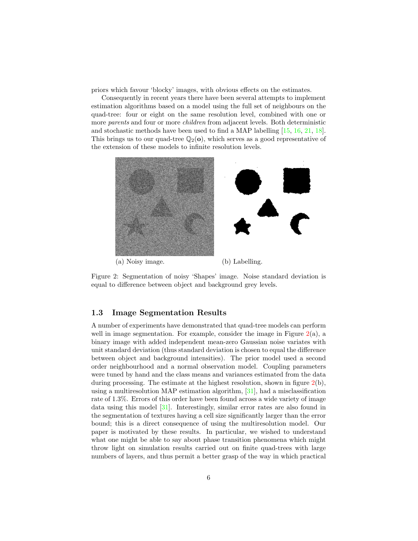priors which favour 'blocky' images, with obvious effects on the estimates.

Consequently in recent years there have been several attempts to implement estimation algorithms based on a model using the full set of neighbours on the quad-tree: four or eight on the same resolution level, combined with one or more *parents* and four or more *children* from adjacent levels. Both deterministic and stochastic methods have been used to find a MAP labelling [\[15,](#page-35-5) [16,](#page-35-6) [21,](#page-36-9) [18\]](#page-36-10). This brings us to our quad-tree  $\mathbb{Q}_2(\mathbf{o})$ , which serves as a good representative of the extension of these models to infinite resolution levels.



Figure 2: Segmentation of noisy 'Shapes' image. Noise standard deviation is equal to difference between object and background grey levels.

#### <span id="page-9-1"></span><span id="page-9-0"></span>1.3 Image Segmentation Results

A number of experiments have demonstrated that quad-tree models can perform well in image segmentation. For example, consider the image in Figure  $2(a)$  $2(a)$ , a binary image with added independent mean-zero Gaussian noise variates with unit standard deviation (thus standard deviation is chosen to equal the difference between object and background intensities). The prior model used a second order neighbourhood and a normal observation model. Coupling parameters were tuned by hand and the class means and variances estimated from the data during processing. The estimate at the highest resolution, shown in figure  $2(b)$  $2(b)$ , using a multiresolution MAP estimation algorithm, [\[31\]](#page-36-11), had a misclassification rate of 1.3%. Errors of this order have been found across a wide variety of image data using this model [\[31\]](#page-36-11). Interestingly, similar error rates are also found in the segmentation of textures having a cell size significantly larger than the error bound; this is a direct consequence of using the multiresolution model. Our paper is motivated by these results. In particular, we wished to understand what one might be able to say about phase transition phenomena which might throw light on simulation results carried out on finite quad-trees with large numbers of layers, and thus permit a better grasp of the way in which practical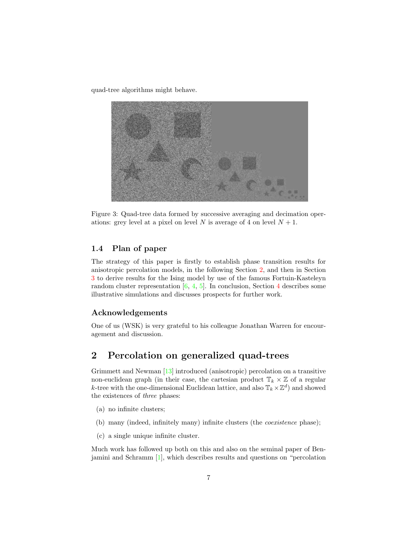quad-tree algorithms might behave.



<span id="page-10-2"></span>Figure 3: Quad-tree data formed by successive averaging and decimation operations: grey level at a pixel on level N is average of 4 on level  $N + 1$ .

#### <span id="page-10-0"></span>1.4 Plan of paper

The strategy of this paper is firstly to establish phase transition results for anisotropic percolation models, in the following Section [2,](#page-10-1) and then in Section [3](#page-28-0) to derive results for the Ising model by use of the famous Fortuin-Kasteleyn random cluster representation  $[6, 4, 5]$  $[6, 4, 5]$  $[6, 4, 5]$  $[6, 4, 5]$ . In conclusion, Section [4](#page-32-0) describes some illustrative simulations and discusses prospects for further work.

#### Acknowledgements

One of us (WSK) is very grateful to his colleague Jonathan Warren for encouragement and discussion.

#### <span id="page-10-1"></span>2 Percolation on generalized quad-trees

Grimmett and Newman [\[13\]](#page-35-0) introduced (anisotropic) percolation on a transitive non-euclidean graph (in their case, the cartesian product  $\mathbb{T}_k \times \mathbb{Z}$  of a regular k-tree with the one-dimensional Euclidean lattice, and also  $\mathbb{T}_k \times \mathbb{Z}^d$  and showed the existences of three phases:

- (a) no infinite clusters;
- (b) many (indeed, infinitely many) infinite clusters (the coexistence phase);
- (c) a single unique infinite cluster.

Much work has followed up both on this and also on the seminal paper of Benjamini and Schramm [\[1\]](#page-34-3), which describes results and questions on "percolation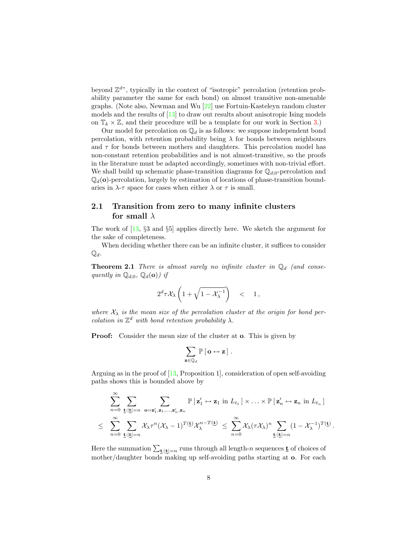beyond  $\mathbb{Z}^{d}$ , typically in the context of "isotropic" percolation (retention probability parameter the same for each bond) on almost transitive non-amenable graphs. (Note also, Newman and Wu [\[22\]](#page-36-2) use Fortuin-Kasteleyn random cluster models and the results of [\[13\]](#page-35-0) to draw out results about anisotropic Ising models on  $\mathbb{T}_k \times \mathbb{Z}$ , and their procedure will be a template for our work in Section [3.](#page-28-0))

Our model for percolation on  $\mathbb{Q}_d$  is as follows: we suppose independent bond percolation, with retention probability being  $\lambda$  for bonds between neighbours and  $\tau$  for bonds between mothers and daughters. This percolation model has non-constant retention probabilities and is not almost-transitive, so the proofs in the literature must be adapted accordingly, sometimes with non-trivial effort. We shall build up schematic phase-transition diagrams for  $\mathbb{Q}_{d,0}$ -percolation and  $\mathbb{Q}_d$ (o)-percolation, largely by estimation of locations of phase-transition boundaries in  $\lambda$ - $\tau$  space for cases when either  $\lambda$  or  $\tau$  is small.

#### <span id="page-11-0"></span>2.1 Transition from zero to many infinite clusters for small  $\lambda$

The work of [\[13,](#page-35-0) §3 and §5] applies directly here. We sketch the argument for the sake of completeness.

<span id="page-11-1"></span>When deciding whether there can be an infinite cluster, it suffices to consider  $\mathbb{Q}_d$ .

**Theorem 2.1** There is almost surely no infinite cluster in  $\mathbb{Q}_d$  (and consequently in  $\mathbb{Q}_{d:0}$ ,  $\mathbb{Q}_{d}(\mathbf{o})$  if

$$
2^d\tau \mathcal{X}_\lambda\left(1+\sqrt{1-\mathcal{X}_\lambda^{-1}}\right) \quad < \quad 1\,,
$$

where  $X_{\lambda}$  is the mean size of the percolation cluster at the origin for bond percolation in  $\mathbb{Z}^d$  with bond retention probability  $\lambda$ .

**Proof:** Consider the mean size of the cluster at **o**. This is given by

$$
\sum_{\mathbf{z}\in\mathbb{Q}_d}\mathbb{P}\left[\,\mathbf{o}\leftrightarrow\mathbf{z}\,\right]\,.
$$

Arguing as in the proof of  $[13,$  Proposition 1, consideration of open self-avoiding paths shows this is bounded above by

$$
\sum_{n=0}^{\infty} \sum_{\mathbf{t}:|\mathbf{t}|=n} \sum_{\mathbf{o}=\mathbf{z}'_1, \mathbf{z}_1, \dots, \mathbf{z}'_n, \mathbf{z}_n} \mathbb{P}\left[\mathbf{z}'_1 \leftrightarrow \mathbf{z}_1 \text{ in } L_{t_1}\right] \times \dots \times \mathbb{P}\left[\mathbf{z}'_n \leftrightarrow \mathbf{z}_n \text{ in } L_{t_n}\right]
$$
\n
$$
\leq \sum_{n=0}^{\infty} \sum_{\mathbf{t}:|\mathbf{t}|=n} \chi_{\lambda} \tau^n (\mathcal{X}_{\lambda} - 1)^{T(\mathbf{t})} \mathcal{X}_{\lambda}^{n-T(\mathbf{t})} \leq \sum_{n=0}^{\infty} \chi_{\lambda} (\tau \mathcal{X}_{\lambda})^n \sum_{\mathbf{t}:|\mathbf{t}|=n} (1 - \mathcal{X}_{\lambda}^{-1})^{T(\mathbf{t})}
$$

.

Here the summation  $\sum_{\mathbf{t}:|\mathbf{t}|=n}$  runs through all length-n sequences  $\underline{\mathbf{t}}$  of choices of mother/daughter bonds making up self-avoiding paths starting at o. For each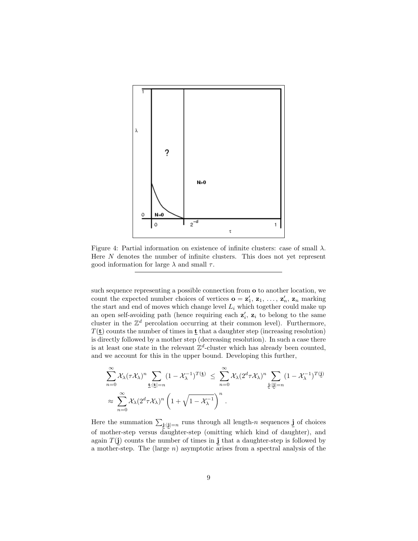

<span id="page-12-0"></span>Figure 4: Partial information on existence of infinite clusters: case of small  $\lambda$ . Here N denotes the number of infinite clusters. This does not yet represent good information for large  $\lambda$  and small  $\tau$ .

such sequence representing a possible connection from o to another location, we count the expected number choices of vertices  $\mathbf{o} = \mathbf{z}'_1, \mathbf{z}_1, \ldots, \mathbf{z}'_n, \mathbf{z}_n$  marking the start and end of moves which change level  $L_i$  which together could make up an open self-avoiding path (hence requiring each  $z_i$ ,  $z_i$  to belong to the same an open sen-avolume path (hence requiring each  $z_i$ ,  $z_i$  to belong to the same cluster in the  $\mathbb{Z}^d$  percolation occurring at their common level). Furthermore,  $T(\mathbf{t})$  counts the number of times in  $\mathbf{t}$  that a daughter step (increasing resolution) is directly followed by a mother step (decreasing resolution). In such a case there is at least one state in the relevant  $\mathbb{Z}^d$ -cluster which has already been counted, and we account for this in the upper bound. Developing this further,

$$
\sum_{n=0}^{\infty} \mathcal{X}_{\lambda} (\tau \mathcal{X}_{\lambda})^n \sum_{\underline{\mathbf{t}} : |\underline{\mathbf{t}}| = n} (1 - \mathcal{X}_{\lambda}^{-1})^{T(\underline{\mathbf{t}})} \leq \sum_{n=0}^{\infty} \mathcal{X}_{\lambda} (2^d \tau \mathcal{X}_{\lambda})^n \sum_{\underline{\mathbf{i}} : |\underline{\mathbf{i}}| = n} (1 - \mathcal{X}_{\lambda}^{-1})^{T(\underline{\mathbf{i}})}
$$

$$
\approx \sum_{n=0}^{\infty} \mathcal{X}_{\lambda} (2^d \tau \mathcal{X}_{\lambda})^n \left(1 + \sqrt{1 - \mathcal{X}_{\lambda}^{-1}}\right)^n.
$$

Here the summation  $\sum_{\mathbf{j}:|\mathbf{j}|=n}$  runs through all length-n sequences  $\mathbf{j}$  of choices of mother-step versus daughter-step (omitting which kind of daughter), and again  $T(j)$  counts the number of times in j that a daughter-step is followed by a mother-step. The (large  $n$ ) asymptotic arises from a spectral analysis of the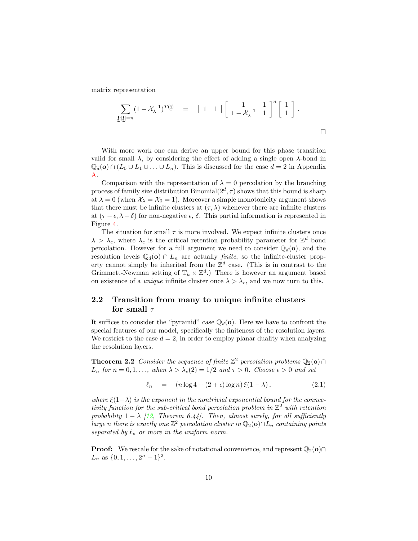matrix representation

$$
\sum_{\underline{\mathbf{j}}:\underline{\mathbf{l}}\underline{\mathbf{j}}|=n}(1-\mathcal{X}_{\lambda}^{-1})^{T(\underline{\mathbf{j}})} = \begin{bmatrix} 1 & 1 \end{bmatrix} \begin{bmatrix} 1 & 1 \\ 1-\mathcal{X}_{\lambda}^{-1} & 1 \end{bmatrix}^{n} \begin{bmatrix} 1 \\ 1 \end{bmatrix}.
$$

 $\Box$ 

With more work one can derive an upper bound for this phase transition valid for small  $\lambda$ , by considering the effect of adding a single open  $\lambda$ -bond in  $\mathbb{Q}_d$ (**o**) ∩ ( $L_0 \cup L_1 \cup ... \cup L_n$ ). This is discussed for the case  $d = 2$  in Appendix [A.](#page-38-0)

Comparison with the representation of  $\lambda = 0$  percolation by the branching process of family size distribution Binomial $(2^d, \tau)$  shows that this bound is sharp at  $\lambda = 0$  (when  $\mathcal{X}_{\lambda} = \mathcal{X}_{0} = 1$ ). Moreover a simple monotonicity argument shows that there must be infinite clusters at  $(\tau, \lambda)$  whenever there are infinite clusters at  $(\tau - \epsilon, \lambda - \delta)$  for non-negative  $\epsilon$ ,  $\delta$ . This partial information is represented in Figure [4.](#page-12-0)

The situation for small  $\tau$  is more involved. We expect infinite clusters once  $\lambda > \lambda_c$ , where  $\lambda_c$  is the critical retention probability parameter for  $\mathbb{Z}^d$  bond percolation. However for a full argument we need to consider  $\mathbb{Q}_d(\mathbf{o})$ , and the resolution levels  $\mathbb{Q}_d(\mathbf{o}) \cap L_n$  are actually *finite*, so the infinite-cluster property cannot simply be inherited from the  $\mathbb{Z}^d$  case. (This is in contrast to the Grimmett-Newman setting of  $\mathbb{T}_k \times \mathbb{Z}^d$ .) There is however an argument based on existence of a *unique* infinite cluster once  $\lambda > \lambda_c$ , and we now turn to this.

#### <span id="page-13-0"></span>2.2 Transition from many to unique infinite clusters for small  $\tau$

It suffices to consider the "pyramid" case  $\mathbb{Q}_d(\mathbf{o})$ . Here we have to confront the special features of our model, specifically the finiteness of the resolution layers. We restrict to the case  $d = 2$ , in order to employ planar duality when analyzing the resolution layers.

<span id="page-13-2"></span>**Theorem 2.2** Consider the sequence of finite  $\mathbb{Z}^2$  percolation problems  $\mathbb{Q}_2(\mathbf{o}) \cap$  $L_n$  for  $n = 0, 1, \ldots$ , when  $\lambda > \lambda_c(2) = 1/2$  and  $\tau > 0$ . Choose  $\epsilon > 0$  and set

<span id="page-13-1"></span>
$$
\ell_n = (n \log 4 + (2 + \epsilon) \log n) \xi(1 - \lambda), \qquad (2.1)
$$

where  $\xi(1-\lambda)$  is the exponent in the nontrivial exponential bound for the connectivity function for the sub-critical bond percolation problem in  $\mathbb{Z}^2$  with retention probability  $1 - \lambda$  [\[12,](#page-35-10) Theorem 6.44]. Then, almost surely, for all sufficiently large n there is exactly one  $\mathbb{Z}^2$  percolation cluster in  $\mathbb{Q}_2(\mathbf{o}) \cap L_n$  containing points separated by  $\ell_n$  or more in the uniform norm.

**Proof:** We rescale for the sake of notational convenience, and represent  $\mathbb{Q}_2(\mathbf{o}) \cap$  $L_n$  as  $\{0, 1, \ldots, 2^n - 1\}^2$ .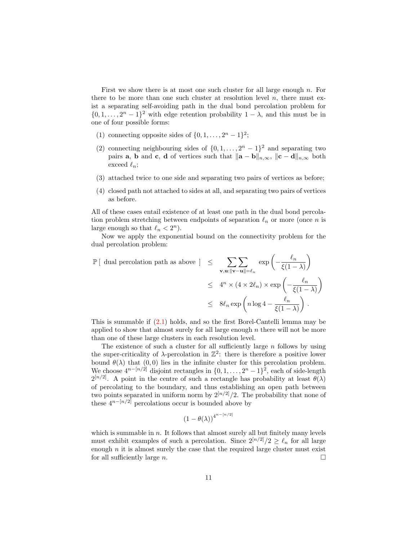First we show there is at most one such cluster for all large enough n. For there to be more than one such cluster at resolution level  $n$ , there must exist a separating self-avoiding path in the dual bond percolation problem for  $\{0, 1, \ldots, 2^n - 1\}^2$  with edge retention probability  $1 - \lambda$ , and this must be in one of four possible forms:

- (1) connecting opposite sides of  $\{0, 1, \ldots, 2^n 1\}^2$ ;
- (2) connecting neighbouring sides of  $\{0, 1, \ldots, 2<sup>n</sup> 1\}$ <sup>2</sup> and separating two pairs **a**, **b** and **c**, **d** of vertices such that  $\|\mathbf{a} - \mathbf{b}\|_{n,\infty}$ ,  $\|\mathbf{c} - \mathbf{d}\|_{n,\infty}$  both exceed  $\ell_n;$
- (3) attached twice to one side and separating two pairs of vertices as before;
- (4) closed path not attached to sides at all, and separating two pairs of vertices as before.

All of these cases entail existence of at least one path in the dual bond percolation problem stretching between endpoints of separation  $\ell_n$  or more (once n is large enough so that  $\ell_n < 2^n$ ).

Now we apply the exponential bound on the connectivity problem for the dual percolation problem:

$$
\mathbb{P}\left[\begin{array}{l l}\text{dual percolation path as above }\end{array}\right] \leq \sum_{\mathbf{v},\mathbf{u}:\|\mathbf{v}-\mathbf{u}\|=\ell_n} \exp\left(-\frac{\ell_n}{\xi(1-\lambda)}\right)
$$
  

$$
\leq 4^n \times (4 \times 2\ell_n) \times \exp\left(-\frac{\ell_n}{\xi(1-\lambda)}\right)
$$
  

$$
\leq 8\ell_n \exp\left(n \log 4 - \frac{\ell_n}{\xi(1-\lambda)}\right).
$$

This is summable if [\(2.1\)](#page-13-1) holds, and so the first Borel-Cantelli lemma may be applied to show that almost surely for all large enough  $n$  there will not be more than one of these large clusters in each resolution level.

The existence of such a cluster for all sufficiently large  $n$  follows by using the super-criticality of  $\lambda$ -percolation in  $\mathbb{Z}^2$ : there is therefore a positive lower bound  $\theta(\lambda)$  that  $(0, 0)$  lies in the infinite cluster for this percolation problem. We choose  $4^{n-[n/2]}$  disjoint rectangles in  $\{0, 1, \ldots, 2^n-1\}^2$ , each of side-length  $2^{[n/2]}$ . A point in the centre of such a rectangle has probability at least  $\theta(\lambda)$ of percolating to the boundary, and thus establishing an open path between two points separated in uniform norm by  $2^{[n/2]}/2$ . The probability that none of these  $4^{n-[n/2]}$  percolations occur is bounded above by

$$
\left(1-\theta(\lambda)\right)^{4^{n-[n/2]}}
$$

which is summable in  $n$ . It follows that almost surely all but finitely many levels must exhibit examples of such a percolation. Since  $2^{[n/2]}/2 \geq \ell_n$  for all large enough  $n$  it is almost surely the case that the required large cluster must exist for all sufficiently large  $n$ .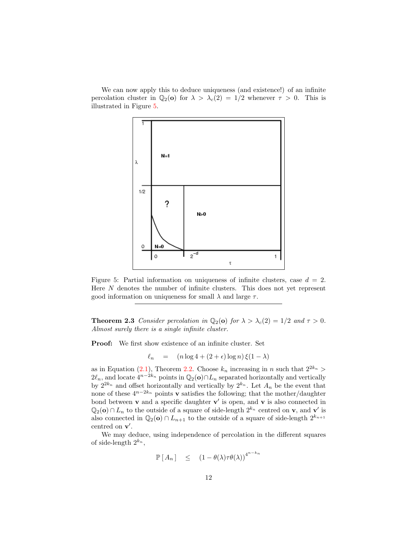We can now apply this to deduce uniqueness (and existence!) of an infinite percolation cluster in  $\mathbb{Q}_2(\mathbf{o})$  for  $\lambda > \lambda_c(2) = 1/2$  whenever  $\tau > 0$ . This is illustrated in Figure [5.](#page-15-0)



<span id="page-15-0"></span>Figure 5: Partial information on uniqueness of infinite clusters, case  $d = 2$ . Here N denotes the number of infinite clusters. This does not yet represent good information on uniqueness for small  $\lambda$  and large  $\tau$ .

<span id="page-15-1"></span>**Theorem 2.3** Consider percolation in  $\mathbb{Q}_2(\mathbf{o})$  for  $\lambda > \lambda_c(2) = 1/2$  and  $\tau > 0$ . Almost surely there is a single infinite cluster.

Proof: We first show existence of an infinite cluster. Set

$$
\ell_n = (n \log 4 + (2 + \epsilon) \log n) \xi(1 - \lambda)
$$

as in Equation [\(2.1\)](#page-13-1), Theorem [2.2.](#page-13-2) Choose  $k_n$  increasing in n such that  $2^{2k_n}$  $2\ell_n$ , and locate  $4^{n-2k_n}$  points in  $\mathbb{Q}_2(\mathbf{o}) \cap L_n$  separated horizontally and vertically by  $2^{2k_n}$  and offset horizontally and vertically by  $2^{k_n}$ . Let  $A_n$  be the event that none of these  $4^{n-2k_n}$  points v satisfies the following; that the mother/daughter bond between  $\bf{v}$  and a specific daughter  $\bf{v}'$  is open, and  $\bf{v}$  is also connected in  $\mathbb{Q}_2(\mathbf{o}) \cap L_n$  to the outside of a square of side-length  $2^{k_n}$  centred on **v**, and **v**' is also connected in  $\mathbb{Q}_2$ (**o**) ∩  $L_{n+1}$  to the outside of a square of side-length  $2^{k_{n+1}}$ centred on  $v'$ .

We may deduce, using independence of percolation in the different squares of side-length  $2^{k_n}$ ,

$$
\mathbb{P}[A_n] \leq (1 - \theta(\lambda)\tau\theta(\lambda))^{4^{n-k_n}}
$$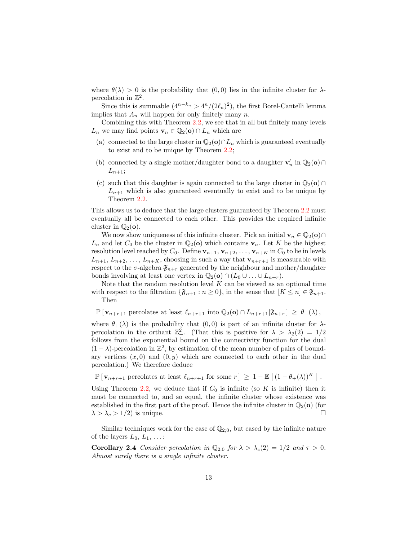where  $\theta(\lambda) > 0$  is the probability that  $(0,0)$  lies in the infinite cluster for  $\lambda$ percolation in  $\mathbb{Z}^2$ .

Since this is summable  $(4^{n-k_n} > 4^n/(2\ell_n)^2)$ , the first Borel-Cantelli lemma implies that  $A_n$  will happen for only finitely many n.

Combining this with Theorem [2.2,](#page-13-2) we see that in all but finitely many levels  $L_n$  we may find points  $\mathbf{v}_n \in \mathbb{Q}_2(\mathbf{o}) \cap L_n$  which are

- (a) connected to the large cluster in  $\mathbb{Q}_2$ (o)∩L<sub>n</sub> which is guaranteed eventually to exist and to be unique by Theorem [2.2;](#page-13-2)
- (b) connected by a single mother/daughter bond to a daughter  $\mathbf{v}'_n$  in  $\mathbb{Q}_2(\mathbf{o}) \cap$  $L_{n+1};$
- (c) such that this daughter is again connected to the large cluster in  $\mathbb{Q}_2$ (o) ∩  $L_{n+1}$  which is also guaranteed eventually to exist and to be unique by Theorem [2.2.](#page-13-2)

This allows us to deduce that the large clusters guaranteed by Theorem [2.2](#page-13-2) must eventually all be connected to each other. This provides the required infinite cluster in  $\mathbb{Q}_2(\mathbf{o})$ .

We now show uniqueness of this infinite cluster. Pick an initial  $\mathbf{v}_n \in \mathbb{Q}_2(\mathbf{o}) \cap$  $L_n$  and let  $C_0$  be the cluster in  $\mathbb{Q}_2(\mathbf{o})$  which contains  $\mathbf{v}_n$ . Let K be the highest resolution level reached by  $C_0$ . Define  $\mathbf{v}_{n+1}, \mathbf{v}_{n+2}, \ldots, \mathbf{v}_{n+K}$  in  $C_0$  to lie in levels  $L_{n+1}, L_{n+2}, \ldots, L_{n+K}$ , choosing in such a way that  $\mathbf{v}_{n+r+1}$  is measurable with respect to the  $\sigma$ -algebra  $\mathfrak{F}_{n+r}$  generated by the neighbour and mother/daughter bonds involving at least one vertex in  $\mathbb{Q}_2$ (**o**) ∩ ( $L_0 \cup ... \cup L_{n+r}$ ).

Note that the random resolution level  $K$  can be viewed as an optional time with respect to the filtration  $\{\mathfrak{F}_{n+1} : n \geq 0\}$ , in the sense that  $[K \leq n] \in \mathfrak{F}_{n+1}$ . Then

 $\mathbb{P} \left[ \mathbf{v}_{n+r+1} \right]$  percolates at least  $\ell_{n+r+1}$  into  $\mathbb{Q}_2(\mathbf{o}) \cap L_{n+r+1}|\mathfrak{F}_{n+r} \geq \theta_+(\lambda),$ 

where  $\theta_+(\lambda)$  is the probability that  $(0,0)$  is part of an infinite cluster for  $\lambda$ percolation in the orthant  $\mathbb{Z}_+^2$ . (That this is positive for  $\lambda > \lambda_2(2) = 1/2$ follows from the exponential bound on the connectivity function for the dual  $(1 - \lambda)$ -percolation in  $\mathbb{Z}^2$ , by estimation of the mean number of pairs of boundary vertices  $(x, 0)$  and  $(0, y)$  which are connected to each other in the dual percolation.) We therefore deduce

 $\mathbb{P}[\mathbf{v}_{n+r+1} \text{ percolates at least } \ell_{n+r+1} \text{ for some } r ] \geq 1 - \mathbb{E}[(1 - \theta_{+}(\lambda))^{K}].$ 

Using Theorem [2.2,](#page-13-2) we deduce that if  $C_0$  is infinite (so K is infinite) then it must be connected to, and so equal, the infinite cluster whose existence was established in the first part of the proof. Hence the infinite cluster in  $\mathbb{Q}_2(\mathbf{o})$  (for  $\lambda > \lambda_c > 1/2$ ) is unique.

Similar techniques work for the case of  $\mathbb{Q}_{2,0}$ , but eased by the infinite nature of the layers  $L_0, L_1, \ldots$ :

**Corollary 2.4** Consider percolation in  $\mathbb{Q}_{2:0}$  for  $\lambda > \lambda_c(2) = 1/2$  and  $\tau > 0$ . Almost surely there is a single infinite cluster.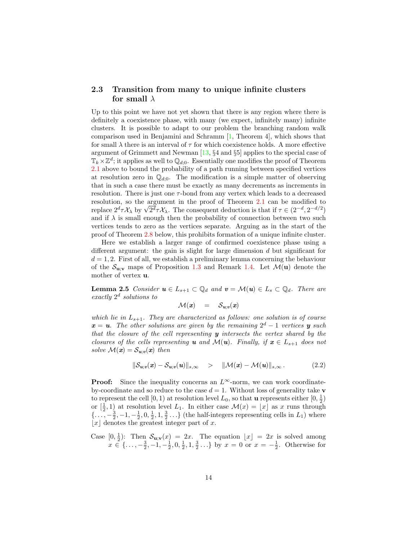#### <span id="page-17-0"></span>2.3 Transition from many to unique infinite clusters for small  $\lambda$

Up to this point we have not yet shown that there is any region where there is definitely a coexistence phase, with many (we expect, infinitely many) infinite clusters. It is possible to adapt to our problem the branching random walk comparison used in Benjamini and Schramm [\[1,](#page-34-3) Theorem 4], which shows that for small  $\lambda$  there is an interval of  $\tau$  for which coexistence holds. A more effective argument of Grimmett and Newman [\[13,](#page-35-0) §4 and §5] applies to the special case of  $\mathbb{T}_k \times \mathbb{Z}^d$ ; it applies as well to  $\mathbb{Q}_{d,0}$ . Essentially one modifies the proof of Theorem [2.1](#page-11-1) above to bound the probability of a path running between specified vertices at resolution zero in  $\mathbb{Q}_{d:0}$ . The modification is a simple matter of observing that in such a case there must be exactly as many decrements as increments in resolution. There is just one  $\tau$ -bond from any vertex which leads to a decreased resolution, so the argument in the proof of Theorem [2.1](#page-11-1) can be modified to resolution, so the argument in the proof of Theorem 2.1 can be modified to<br>replace  $2^d \tau \mathcal{X}_\lambda$  by  $\sqrt{2^d} \tau \mathcal{X}_\lambda$ . The consequent deduction is that if  $\tau \in (2^{-d}, 2^{-d/2})$ and if  $\lambda$  is small enough then the probability of connection between two such vertices tends to zero as the vertices separate. Arguing as in the start of the proof of Theorem [2.8](#page-18-0) below, this prohibits formation of a unique infinite cluster.

Here we establish a larger range of confirmed coexistence phase using a different argument: the gain is slight for large dimension d but significant for  $d = 1, 2$ . First of all, we establish a preliminary lemma concerning the behaviour of the  $\mathcal{S}_{\mathbf{u};\mathbf{v}}$  maps of Proposition [1.3](#page-6-1) and Remark [1.4.](#page-6-2) Let  $\mathcal{M}(\mathbf{u})$  denote the mother of vertex u.

**Lemma 2.5** Consider  $u \in L_{s+1} \subset \mathbb{Q}_d$  and  $v = \mathcal{M}(u) \in L_s \subset \mathbb{Q}_d$ . There are exactly  $2^d$  solutions to

<span id="page-17-2"></span><span id="page-17-1"></span>
$$
\mathcal{M}(\pmb{x})\quad =\quad \mathcal{S}_{\pmb{u};\pmb{v}}(\pmb{x})
$$

which lie in  $L_{s+1}$ . They are characterized as follows: one solution is of course  $x = u$ . The other solutions are given by the remaining  $2^d - 1$  vertices y such that the closure of the cell representing  $y$  intersects the vertex shared by the closures of the cells representing **u** and  $\mathcal{M}(u)$ . Finally, if  $x \in L_{s+1}$  does not solve  $\mathcal{M}(x) = \mathcal{S}_{u; v}(x)$  then

$$
\|\mathcal{S}_{u; v}(\boldsymbol{x}) - \mathcal{S}_{u; v}(\boldsymbol{u})\|_{s, \infty} > \|\mathcal{M}(\boldsymbol{x}) - \mathcal{M}(\boldsymbol{u})\|_{s, \infty}.
$$
 (2.2)

**Proof:** Since the inequality concerns an  $L^{\infty}$ -norm, we can work coordinateby-coordinate and so reduce to the case  $d = 1$ . Without loss of generality take v to represent the cell  $[0, 1)$  at resolution level  $L_0$ , so that **u** represents either  $[0, \frac{1}{2})$ or  $\left[\frac{1}{2},1\right)$  at resolution level  $L_1$ . In either case  $\mathcal{M}(x) = \lfloor x \rfloor$  as x runs through  $\{\ldots, -\frac{3}{2}, -1, -\frac{1}{2}, 0, \frac{1}{2}, 1, \frac{3}{2} \ldots\}$  (the half-integers representing cells in  $L_1$ ) where  $|x|$  denotes the greatest integer part of x.

Case  $[0, \frac{1}{2})$ : Then  $\mathcal{S}_{\mathbf{u};\mathbf{v}}(x) = 2x$ . The equation  $\lfloor x \rfloor = 2x$  is solved among  $x \in \{ \ldots, -\frac{3}{2}, -1, -\frac{1}{2}, 0, \frac{1}{2}, 1, \frac{3}{2} \ldots \}$  by  $x = 0$  or  $x = -\frac{1}{2}$ . Otherwise for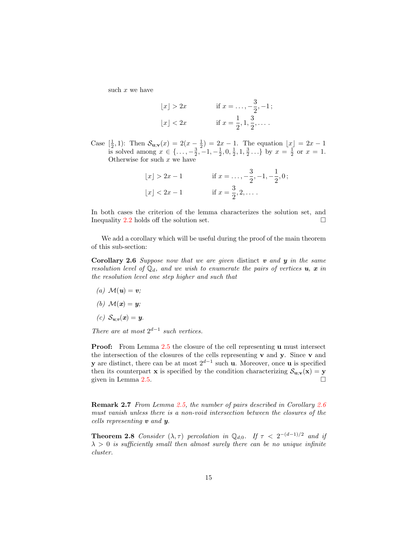such  $x$  we have

bxc > 2x if x = . . . , − 3 2 , −1 ; bxc < 2x if x = 1 2 , 1, 3 2 , . . . .

Case  $[\frac{1}{2}, 1)$ : Then  $S_{\mathbf{u},\mathbf{v}}(x) = 2(x - \frac{1}{2}) = 2x - 1$ . The equation  $\lfloor x \rfloor = 2x - 1$ is solved among  $x \in \{\ldots, -\frac{3}{2}, -1, -\frac{1}{2}, 0, \frac{1}{2}, 1, \frac{3}{2} \ldots\}$  by  $x = \frac{1}{2}$  or  $x = 1$ . Otherwise for such  $x$  we have

| $ x  > 2x - 1$ | if $x = \ldots, -\frac{3}{2}, -1, -\frac{1}{2}, 0$ ; |
|----------------|------------------------------------------------------|
| $ x  < 2x - 1$ | if $x = \frac{3}{2}, 2, \ldots$ .                    |

In both cases the criterion of the lemma characterizes the solution set, and Inequality [2.2](#page-17-1) holds off the solution set.  $\Box$ 

<span id="page-18-1"></span>We add a corollary which will be useful during the proof of the main theorem of this sub-section:

Corollary 2.6 Suppose now that we are given distinct  $\boldsymbol{v}$  and  $\boldsymbol{y}$  in the same resolution level of  $\mathbb{Q}_d$ , and we wish to enumerate the pairs of vertices  $u, x$  in the resolution level one step higher and such that

(a)  $\mathcal{M}(\boldsymbol{u}) = \boldsymbol{v}$ ;

(b) 
$$
\mathcal{M}(x) = y;
$$

$$
(c) S_{u; v}(x) = y.
$$

There are at most  $2^{d-1}$  such vertices.

**Proof:** From Lemma [2.5](#page-17-2) the closure of the cell representing u must intersect the intersection of the closures of the cells representing  $\bf{v}$  and  $\bf{v}$ . Since  $\bf{v}$  and **y** are distinct, there can be at most  $2^{d-1}$  such **u**. Moreover, once **u** is specified then its counterpart **x** is specified by the condition characterizing  $S_{\mathbf{u};\mathbf{v}}(\mathbf{x}) = \mathbf{y}$  given in Lemma 2.5. given in Lemma [2.5.](#page-17-2)

Remark 2.7 From Lemma [2.5,](#page-17-2) the number of pairs described in Corollary [2.6](#page-18-1) must vanish unless there is a non-void intersection between the closures of the cells representing v and y.

<span id="page-18-0"></span>**Theorem 2.8** Consider  $(\lambda, \tau)$  percolation in  $\mathbb{Q}_{d,0}$ . If  $\tau < 2^{-(d-1)/2}$  and if  $\lambda > 0$  is sufficiently small then almost surely there can be no unique infinite cluster.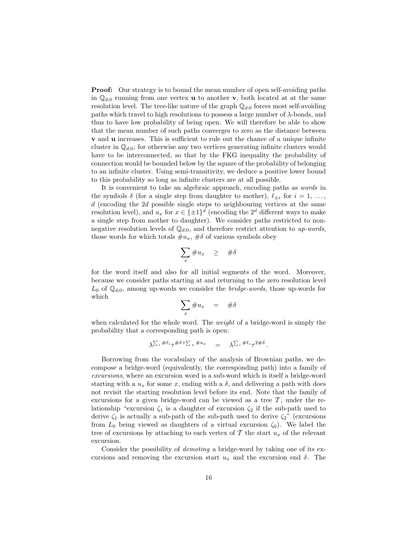Proof: Our strategy is to bound the mean number of open self-avoiding paths in  $\mathbb{Q}_{d:0}$  running from one vertex **u** to another **v**, both located at at the same resolution level. The tree-like nature of the graph  $\mathbb{Q}_{d;0}$  forces most self-avoiding paths which travel to high resolutions to possess a large number of λ-bonds, and thus to have low probability of being open. We will therefore be able to show that the mean number of such paths converges to zero as the distance between v and u increases. This is sufficient to rule out the chance of a unique infinite cluster in  $\mathbb{Q}_{d,0}$ ; for otherwise any two vertices generating infinite clusters would have to be interconnected, so that by the FKG inequality the probability of connection would be bounded below by the square of the probability of belonging to an infinite cluster. Using semi-transitivity, we deduce a positive lower bound to this probability so long as infinite clusters are at all possible.

It is convenient to take an algebraic approach, encoding paths as words in the symbols  $\delta$  (for a single step from daughter to mother),  $\ell_{\pm i}$  for  $i = 1, \ldots,$ d (encoding the 2d possible single steps to neighbouring vertices at the same resolution level), and  $u_x$  for  $x \in {\pm 1}^d$  (encoding the  $2^d$  different ways to make a single step from mother to daughter). We consider paths restricted to nonnegative resolution levels of  $\mathbb{Q}_{d;0}$ , and therefore restrict attention to up-words, those words for which totals  $\#u_x$ ,  $\#\delta$  of various symbols obey

$$
\sum_x \#u_x \quad \geq \quad \#\delta
$$

for the word itself and also for all initial segments of the word. Moreover, because we consider paths starting at and returning to the zero resolution level  $L_0$  of  $\mathbb{Q}_{d;0}$ , among up-words we consider the *bridge-words*, those up-words for which

$$
\sum_{x} \#u_x = \#\delta
$$

when calculated for the whole word. The *weight* of a bridge-word is simply the probability that a corresponding path is open:

$$
\lambda^{\sum_i \# \ell_i} \tau^{\# \delta + \sum_x \# u_x} = \lambda^{\sum_i \# \ell_i} \tau^{2 \# \delta}.
$$

Borrowing from the vocabulary of the analysis of Brownian paths, we decompose a bridge-word (equivalently, the corresponding path) into a family of excursions, where an excursion word is a sub-word which is itself a bridge-word starting with a  $u_x$  for some x, ending with a  $\delta$ , and delivering a path with does not revisit the starting resolution level before its end. Note that the family of excursions for a given bridge-word can be viewed as a tree  $\mathcal{T}$ , under the relationship "excursion  $\zeta_1$  is a daughter of excursion  $\zeta_2$  if the sub-path used to derive  $\zeta_1$  is actually a sub-path of the sub-path used to derive  $\zeta_2$ " (excursions from  $L_0$  being viewed as daughters of a virtual excursion  $\zeta_0$ ). We label the tree of excursions by attaching to each vertex of  $\mathcal T$  the start  $u_x$  of the relevant excursion.

Consider the possibility of *demoting* a bridge-word by taking one of its excursions and removing the excursion start  $u_x$  and the excursion end  $\delta$ . The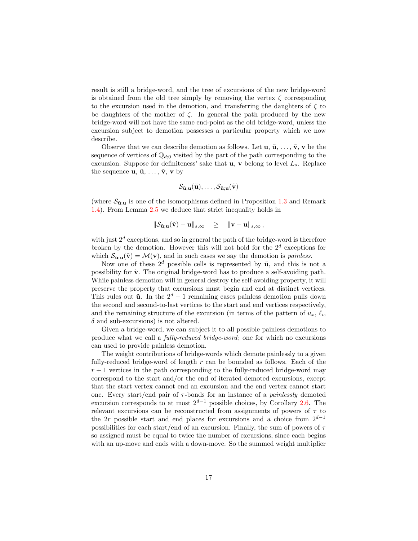result is still a bridge-word, and the tree of excursions of the new bridge-word is obtained from the old tree simply by removing the vertex  $\zeta$  corresponding to the excursion used in the demotion, and transferring the daughters of  $\zeta$  to be daughters of the mother of  $\zeta$ . In general the path produced by the new bridge-word will not have the same end-point as the old bridge-word, unless the excursion subject to demotion possesses a particular property which we now describe.

Observe that we can describe demotion as follows. Let  $\mathbf{u}, \tilde{\mathbf{u}}, \ldots, \tilde{\mathbf{v}}, \mathbf{v}$  be the sequence of vertices of  $\mathbb{Q}_{d:0}$  visited by the part of the path corresponding to the excursion. Suppose for definiteness' sake that  $\mathbf{u}, \mathbf{v}$  belong to level  $L_s$ . Replace the sequence  $\mathbf{u}, \tilde{\mathbf{u}}, \ldots, \tilde{\mathbf{v}}, \mathbf{v}$  by

$$
\mathcal{S}_{\tilde{\mathbf{u}};\mathbf{u}}(\tilde{\mathbf{u}}),\ldots,\mathcal{S}_{\tilde{\mathbf{u}};\mathbf{u}}(\tilde{\mathbf{v}})
$$

(where  $\mathcal{S}_{\tilde{\mathbf{u}}; \mathbf{u}}$  is one of the isomorphisms defined in Proposition [1.3](#page-6-1) and Remark [1.4\)](#page-6-2). From Lemma [2.5](#page-17-2) we deduce that strict inequality holds in

$$
\|\mathcal{S}_{\tilde{\mathbf{u}};\mathbf{u}}(\tilde{\mathbf{v}})-\mathbf{u}\|_{s,\infty}\quad \geq \quad \|\mathbf{v}-\mathbf{u}\|_{s,\infty}\,,
$$

with just  $2^d$  exceptions, and so in general the path of the bridge-word is therefore broken by the demotion. However this will not hold for the  $2^d$  exceptions for which  $\mathcal{S}_{\mathbf{\tilde{u}}:\mathbf{u}}(\tilde{\mathbf{v}}) = \mathcal{M}(\mathbf{v})$ , and in such cases we say the demotion is *painless*.

Now one of these  $2^d$  possible cells is represented by  $\tilde{u}$ , and this is not a possibility for  $\tilde{\mathbf{v}}$ . The original bridge-word has to produce a self-avoiding path. While painless demotion will in general destroy the self-avoiding property, it will preserve the property that excursions must begin and end at distinct vertices. This rules out  $\tilde{u}$ . In the  $2^d - 1$  remaining cases painless demotion pulls down the second and second-to-last vertices to the start and end vertices respectively, and the remaining structure of the excursion (in terms of the pattern of  $u_x, \ell_i$ ,  $\delta$  and sub-excursions) is not altered.

Given a bridge-word, we can subject it to all possible painless demotions to produce what we call a fully-reduced bridge-word; one for which no excursions can used to provide painless demotion.

The weight contributions of bridge-words which demote painlessly to a given fully-reduced bridge-word of length  $r$  can be bounded as follows. Each of the  $r + 1$  vertices in the path corresponding to the fully-reduced bridge-word may correspond to the start and/or the end of iterated demoted excursions, except that the start vertex cannot end an excursion and the end vertex cannot start one. Every start/end pair of  $\tau$ -bonds for an instance of a *painlessly* demoted excursion corresponds to at most  $2^{d-1}$  possible choices, by Corollary [2.6.](#page-18-1) The relevant excursions can be reconstructed from assignments of powers of  $\tau$  to the 2r possible start and end places for excursions and a choice from  $2^{d-1}$ possibilities for each start/end of an excursion. Finally, the sum of powers of  $\tau$ so assigned must be equal to twice the number of excursions, since each begins with an up-move and ends with a down-move. So the summed weight multiplier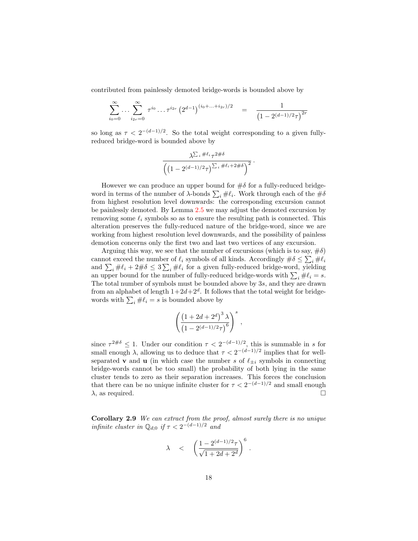contributed from painlessly demoted bridge-words is bounded above by

$$
\sum_{i_0=0}^{\infty} \dots \sum_{i_{2r}=0}^{\infty} \tau^{i_0} \dots \tau^{i_{2r}} \left(2^{d-1}\right)^{(i_0 + \dots + i_{2r})/2} = \frac{1}{\left(1 - 2^{(d-1)/2}\tau\right)^{2r}}
$$

so long as  $\tau < 2^{-(d-1)/2}$ . So the total weight corresponding to a given fullyreduced bridge-word is bounded above by

$$
\frac{\lambda^{\sum_i \#\ell_i} \tau^{2\#\delta}}{\left( \left(1 - 2^{(d-1)/2} \tau\right)^{\sum_i \#\ell_i + 2\#\delta} \right)^2}.
$$

However we can produce an upper bound for  $\#\delta$  for a fully-reduced bridgeword in terms of the number of  $\lambda$ -bonds  $\sum_i \# \ell_i$ . Work through each of the  $\#\delta$ from highest resolution level downwards: the corresponding excursion cannot be painlessly demoted. By Lemma [2.5](#page-17-2) we may adjust the demoted excursion by removing some  $\ell_i$  symbols so as to ensure the resulting path is connected. This alteration preserves the fully-reduced nature of the bridge-word, since we are working from highest resolution level downwards, and the possibility of painless demotion concerns only the first two and last two vertices of any excursion.

Arguing this way, we see that the number of excursions (which is to say,  $\#\delta$ ) cannot exceed the number of  $\ell_i$  symbols of all kinds. Accordingly  $\#\delta \leq \sum_i \# \ell_i$ and  $\sum_i \# \ell_i + 2 \# \delta \leq 3 \sum_i \# \ell_i$  for a given fully-reduced bridge-word, yielding an upper bound for the number of fully-reduced bridge-words with  $\sum_i \# \ell_i = s$ . The total number of symbols must be bounded above by 3s, and they are drawn from an alphabet of length  $1+2d+2^d$ . It follows that the total weight for bridgewords with  $\sum_i # \ell_i = s$  is bounded above by

$$
\left(\frac{\left(1+2d+2^d\right)^3\lambda}{\left(1-2^{(d-1)/2}\tau\right)^6}\right)^s
$$

,

since  $\tau^{2\#\delta} \leq 1$ . Under our condition  $\tau < 2^{-(d-1)/2}$ , this is summable in s for small enough  $\lambda$ , allowing us to deduce that  $\tau < 2^{-(d-1)/2}$  implies that for wellseparated **v** and **u** (in which case the number s of  $\ell_{\pm i}$  symbols in connecting bridge-words cannot be too small) the probability of both lying in the same cluster tends to zero as their separation increases. This forces the conclusion that there can be no unique infinite cluster for  $\tau < 2^{-(d-1)/2}$  and small enough  $\lambda$ , as required.

Corollary 2.9 We can extract from the proof, almost surely there is no unique infinite cluster in  $\mathbb{Q}_{d;0}$  if  $\tau < 2^{-(d-1)/2}$  and

$$
\lambda \quad < \quad \left( \frac{1 - 2^{(d-1)/2} \tau}{\sqrt{1 + 2d + 2^d}} \right)^6 \, .
$$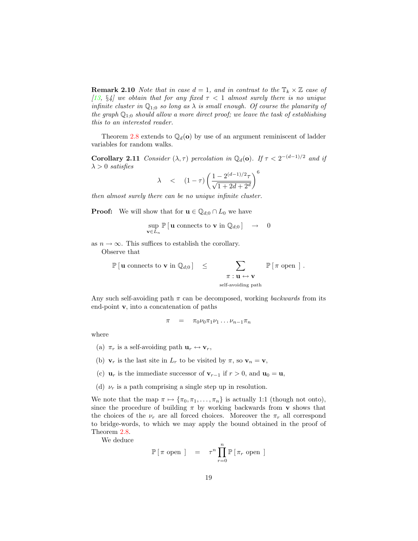**Remark 2.10** Note that in case  $d = 1$ , and in contrast to the  $\mathbb{T}_k \times \mathbb{Z}$  case of [\[13,](#page-35-0) §4] we obtain that for any fixed  $\tau$  < 1 almost surely there is no unique infinite cluster in  $\mathbb{Q}_{1;0}$  so long as  $\lambda$  is small enough. Of course the planarity of the graph  $\mathbb{Q}_{1;0}$  should allow a more direct proof; we leave the task of establishing this to an interested reader.

Theorem [2.8](#page-18-0) extends to  $\mathbb{Q}_d(\mathbf{o})$  by use of an argument reminiscent of ladder variables for random walks.

**Corollary 2.11** Consider  $(\lambda, \tau)$  percolation in  $\mathbb{Q}_d(\mathbf{o})$ . If  $\tau < 2^{-(d-1)/2}$  and if  $\lambda > 0$  satisfies 6

$$
\lambda \quad < \quad (1 - \tau) \left( \frac{1 - 2^{(d-1)/2} \tau}{\sqrt{1 + 2d + 2^d}} \right)^t
$$

then almost surely there can be no unique infinite cluster.

**Proof:** We will show that for  $\mathbf{u} \in \mathbb{Q}_{d,0} \cap L_0$  we have

$$
\sup_{\mathbf{v}\in L_n}\mathbb{P}\left[\mathbf{u} \text{ connects to } \mathbf{v} \text{ in } \mathbb{Q}_{d;0}\right] \rightarrow 0
$$

as  $n \to \infty$ . This suffices to establish the corollary.

Observe that

$$
\mathbb{P} [\mathbf{u} \text{ connects to } \mathbf{v} \text{ in } \mathbb{Q}_{d;0}] \leq \sum_{\substack{\pi : \mathbf{u} \leftrightarrow \mathbf{v} \\ \text{self-avoiding path}}} \mathbb{P} [\pi \text{ open }] .
$$

Any such self-avoiding path  $\pi$  can be decomposed, working *backwards* from its end-point v, into a concatenation of paths

$$
\pi = \pi_0 \nu_0 \pi_1 \nu_1 \dots \nu_{n-1} \pi_n
$$

where

- (a)  $\pi_r$  is a self-avoiding path  $\mathbf{u}_r \leftrightarrow \mathbf{v}_r$ ,
- (b)  $\mathbf{v}_r$  is the last site in  $L_r$  to be visited by  $\pi$ , so  $\mathbf{v}_n = \mathbf{v}$ ,
- (c)  $\mathbf{u}_r$  is the immediate successor of  $\mathbf{v}_{r-1}$  if  $r > 0$ , and  $\mathbf{u}_0 = \mathbf{u}$ ,
- (d)  $\nu_r$  is a path comprising a single step up in resolution.

We note that the map  $\pi \mapsto {\pi_0, \pi_1, \ldots, \pi_n}$  is actually 1:1 (though not onto), since the procedure of building  $\pi$  by working backwards from **v** shows that the choices of the  $\nu_r$  are all forced choices. Moreover the  $\pi_r$  all correspond to bridge-words, to which we may apply the bound obtained in the proof of Theorem [2.8.](#page-18-0)

We deduce

$$
\mathbb{P} [\pi \text{ open } ] = \tau^n \prod_{r=0}^n \mathbb{P} [\pi_r \text{ open } ]
$$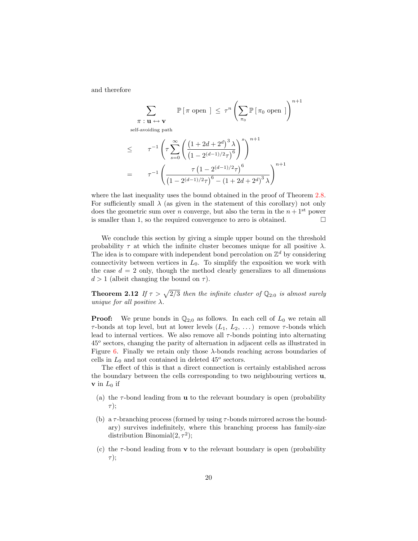and therefore

$$
\sum_{\pi : \mathbf{u} \leftrightarrow \mathbf{v}} \mathbb{P} \left[ \pi \text{ open } \right] \leq \tau^n \left( \sum_{\pi_0} \mathbb{P} \left[ \pi_0 \text{ open } \right] \right)^{n+1}
$$
\nself-avoiding path\n
$$
\leq \tau^{-1} \left( \tau \sum_{s=0}^{\infty} \left( \frac{\left(1 + 2d + 2^d\right)^3 \lambda}{\left(1 - 2^{(d-1)/2} \tau\right)^6} \right)^{n+1} \right)
$$
\n
$$
= \tau^{-1} \left( \frac{\tau \left(1 - 2^{(d-1)/2} \tau\right)^6}{\left(1 - 2^{(d-1)/2} \tau\right)^6 - \left(1 + 2d + 2^d\right)^3 \lambda} \right)^{n+1}
$$

where the last inequality uses the bound obtained in the proof of Theorem [2.8.](#page-18-0) For sufficiently small  $\lambda$  (as given in the statement of this corollary) not only does the geometric sum over *n* converge, but also the term in the  $n + 1<sup>st</sup>$  power is smaller than 1, so the required convergence to zero is obtained.  $\Box$ 

We conclude this section by giving a simple upper bound on the threshold probability  $\tau$  at which the infinite cluster becomes unique for all positive  $\lambda$ . The idea is to compare with independent bond percolation on  $\mathbb{Z}^d$  by considering connectivity between vertices in  $L_0$ . To simplify the exposition we work with the case  $d = 2$  only, though the method clearly generalizes to all dimensions  $d > 1$  (albeit changing the bound on  $\tau$ ).

<span id="page-23-0"></span>**Theorem 2.12** If  $\tau > \sqrt{2/3}$  then the infinite cluster of  $\mathbb{Q}_{2:0}$  is almost surely unique for all positive  $\lambda$ .

**Proof:** We prune bonds in  $\mathbb{Q}_{2,0}$  as follows. In each cell of  $L_0$  we retain all  $\tau$ -bonds at top level, but at lower levels  $(L_1, L_2, ...)$  remove  $\tau$ -bonds which lead to internal vertices. We also remove all  $\tau$ -bonds pointing into alternating 45<sup>o</sup> sectors, changing the parity of alternation in adjacent cells as illustrated in Figure [6.](#page-24-0) Finally we retain only those  $\lambda$ -bonds reaching across boundaries of cells in  $L_0$  and not contained in deleted  $45^o$  sectors.

The effect of this is that a direct connection is certainly established across the boundary between the cells corresponding to two neighbouring vertices u,  $\mathbf v$  in  $L_0$  if

- (a) the  $\tau$ -bond leading from **u** to the relevant boundary is open (probability  $\tau$ );
- (b) a  $\tau$ -branching process (formed by using  $\tau$ -bonds mirrored across the boundary) survives indefinitely, where this branching process has family-size distribution Binomial $(2, \tau^2)$ ;
- (c) the  $\tau$ -bond leading from **v** to the relevant boundary is open (probability  $\tau$ );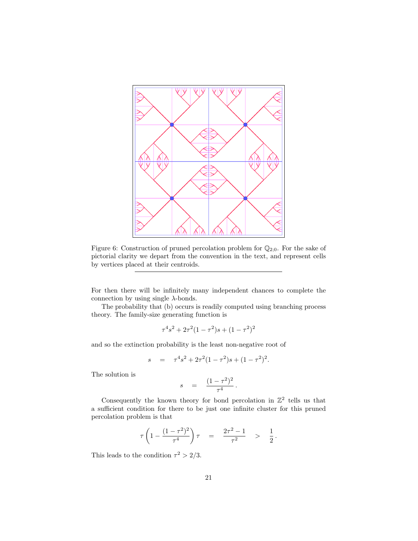

<span id="page-24-0"></span>Figure 6: Construction of pruned percolation problem for  $\mathbb{Q}_{2;0}$ . For the sake of pictorial clarity we depart from the convention in the text, and represent cells by vertices placed at their centroids.

For then there will be infinitely many independent chances to complete the connection by using single  $\lambda$ -bonds.

The probability that (b) occurs is readily computed using branching process theory. The family-size generating function is

$$
\tau^4 s^2 + 2\tau^2 (1 - \tau^2) s + (1 - \tau^2)^2
$$

and so the extinction probability is the least non-negative root of

$$
s = \tau^4 s^2 + 2\tau^2 (1 - \tau^2) s + (1 - \tau^2)^2.
$$

The solution is

$$
s = \frac{(1 - \tau^2)^2}{\tau^4}.
$$

Consequently the known theory for bond percolation in  $\mathbb{Z}^2$  tells us that a sufficient condition for there to be just one infinite cluster for this pruned percolation problem is that

$$
\tau \left( 1 - \frac{(1 - \tau^2)^2}{\tau^4} \right) \tau = \frac{2\tau^2 - 1}{\tau^2} > \frac{1}{2}.
$$

This leads to the condition  $\tau^2 > 2/3$ .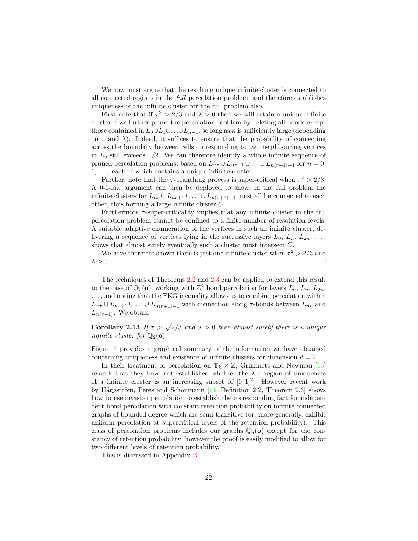We now must argue that the resulting unique infinite cluster is connected to all connected regions in the full percolation problem, and therefore establishes uniqueness of the infinite cluster for the full problem also.

First note that if  $\tau^2 > 2/3$  and  $\lambda > 0$  then we will retain a unique infinite cluster if we further prune the percolation problem by deleting all bonds except those contained in  $L_0 \cup L_1 \cup \ldots \cup L_{n-1}$ , so long as n is sufficiently large (depending on  $\tau$  and  $\lambda$ ). Indeed, it suffices to ensure that the probability of connecting across the boundary between cells corresponding to two neighbouring vertices in  $L_0$  still exceeds 1/2. We can therefore identify a whole infinite sequence of pruned percolation problems, based on  $L_{nr} \cup L_{nr+1} \cup ... \cup L_{n(r+1)-1}$  for  $n = 0$ ,  $1, \ldots$ , each of which contains a unique infinite cluster.

Further, note that the  $\tau$ -branching process is super-critical when  $\tau^2 > 2/3$ . A 0-1-law argument can then be deployed to show, in the full problem the infinite clusters for  $L_{nr} \cup L_{nr+1} \cup ... \cup L_{n(r+1)-1}$  must all be connected to each other, thus forming a large infinite cluster C.

Furthermore  $\tau$ -super-criticality implies that any infinite cluster in the full percolation problem cannot be confined to a finite number of resolution levels. A suitable adaptive enumeration of the vertices in such an infinite cluster, delivering a sequence of vertices lying in the successive layers  $L_0, L_n, L_{2n}, \ldots$ , shows that almost surely eventually such a cluster must intersect C.

We have therefore shown there is just one infinite cluster when  $\tau^2 > 2/3$  and  $\lambda > 0$ .

The techniques of Theorems [2.2](#page-13-2) and [2.3](#page-15-1) can be applied to extend this result to the case of  $\overline{\mathbb{Q}}_2(\mathbf{o})$ , working with  $\mathbb{Z}^2$  bond percolation for layers  $L_0$ ,  $L_n$ ,  $L_{2n}$ , ..., and noting that the FKG inequality allows us to combine percolation within  $L_{nr} \cup L_{nr+1} \cup \ldots \cup L_{n(r+1)-1}$  with connection along  $\tau$ -bonds between  $L_{nr}$  and  $L_{n(r+1)}$ . We obtain

**Corollary 2.13** If  $\tau > \sqrt{2/3}$  and  $\lambda > 0$  then almost surely there is a unique infinite cluster for  $\mathbb{Q}_2(\mathbf{o})$ .

Figure [7](#page-26-1) provides a graphical summary of the information we have obtained concerning uniqueness and existence of infinite clusters for dimension  $d = 2$ .

In their treatment of percolation on  $\mathbb{T}_k \times \mathbb{Z}$ , Grimmett and Newman [\[13\]](#page-35-0) remark that they have not established whether the  $\lambda$ - $\tau$  region of uniqueness of a infinite cluster is an increasing subset of  $[0, 1]^2$ . However recent work by Häggström, Peres and Schonmann  $[14,$  Definition 2.2, Theorem 2.3] shows how to use invasion percolation to establish the corresponding fact for independent bond percolation with constant retention probability on infinite connected graphs of bounded degree which are semi-transitive (or, more generally, exhibit uniform percolation at supercritical levels of the retention probability). This class of percolation problems includes our graphs  $\mathbb{Q}_d(\mathbf{o})$  except for the constancy of retention probability; however the proof is easily modified to allow for two different levels of retention probability.

This is discussed in Appendix [B.](#page-39-0)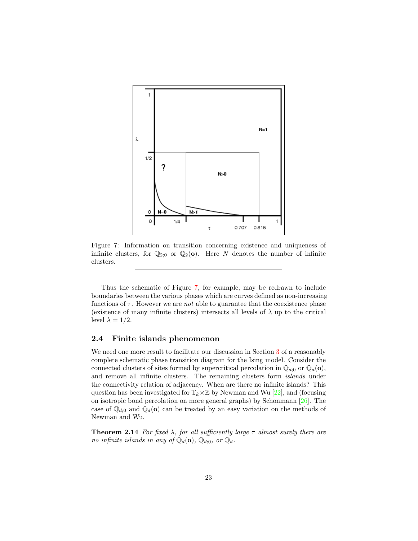

<span id="page-26-1"></span>Figure 7: Information on transition concerning existence and uniqueness of infinite clusters, for  $\mathbb{Q}_{2;0}$  or  $\mathbb{Q}_2(\mathbf{o})$ . Here N denotes the number of infinite clusters.

Thus the schematic of Figure [7,](#page-26-1) for example, may be redrawn to include boundaries between the various phases which are curves defined as non-increasing functions of  $\tau$ . However we are *not* able to guarantee that the coexistence phase (existence of many infinite clusters) intersects all levels of  $\lambda$  up to the critical level  $\lambda = 1/2$ .

#### <span id="page-26-0"></span>2.4 Finite islands phenomenon

We need one more result to facilitate our discussion in Section [3](#page-28-0) of a reasonably complete schematic phase transition diagram for the Ising model. Consider the connected clusters of sites formed by supercritical percolation in  $\mathbb{Q}_{d,0}$  or  $\mathbb{Q}_{d}(\mathbf{o}),$ and remove all infinite clusters. The remaining clusters form islands under the connectivity relation of adjacency. When are there no infinite islands? This question has been investigated for  $\mathbb{T}_k \times \mathbb{Z}$  by Newman and Wu [\[22\]](#page-36-2), and (focusing on isotropic bond percolation on more general graphs) by Schonmann [\[26\]](#page-36-12). The case of  $\mathbb{Q}_{d,0}$  and  $\mathbb{Q}_d(\mathbf{o})$  can be treated by an easy variation on the methods of Newman and Wu.

<span id="page-26-2"></span>**Theorem 2.14** For fixed  $\lambda$ , for all sufficiently large  $\tau$  almost surely there are no infinite islands in any of  $\mathbb{Q}_d(\mathbf{o}), \mathbb{Q}_{d;0}$ , or  $\mathbb{Q}_d$ .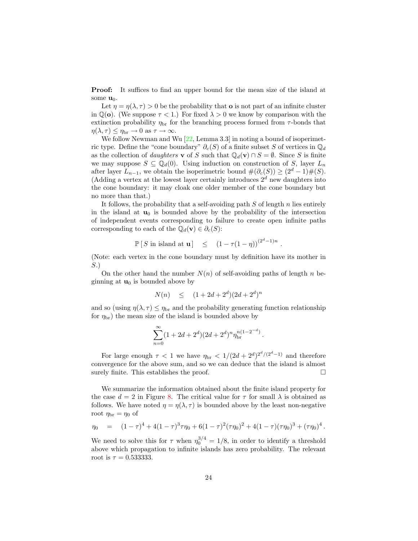Proof: It suffices to find an upper bound for the mean size of the island at some  $\mathbf{u}_0$ .

Let  $\eta = \eta(\lambda, \tau) > 0$  be the probability that **o** is not part of an infinite cluster in  $\mathbb{Q}(\mathbf{o})$ . (We suppose  $\tau < 1$ .) For fixed  $\lambda > 0$  we know by comparison with the extinction probability  $\eta_{\text{br}}$  for the branching process formed from  $\tau$ -bonds that  $\eta(\lambda, \tau) \leq \eta_{\rm br} \to 0 \text{ as } \tau \to \infty.$ 

We follow Newman and Wu [\[22,](#page-36-2) Lemma 3.3] in noting a bound of isoperimetric type. Define the "cone boundary"  $\partial_c(S)$  of a finite subset S of vertices in  $\mathbb{Q}_d$ as the collection of *daughters* **v** of S such that  $\mathbb{Q}_d(\mathbf{v}) \cap S = \emptyset$ . Since S is finite we may suppose  $S \subseteq \mathbb{Q}_d(0)$ . Using induction on construction of S, layer  $L_n$ after layer  $L_{n-1}$ , we obtain the isoperimetric bound  $\#(\partial_c(S)) \geq (2^d-1)\#(S)$ . (Adding a vertex at the lowest layer certainly introduces  $2<sup>d</sup>$  new daughters into the cone boundary: it may cloak one older member of the cone boundary but no more than that.)

It follows, the probability that a self-avoiding path  $S$  of length  $n$  lies entirely in the island at  $\mathbf{u}_0$  is bounded above by the probability of the intersection of independent events corresponding to failure to create open infinite paths corresponding to each of the  $\mathbb{Q}_d(\mathbf{v}) \in \partial_c(S)$ :

$$
\mathbb{P}\left[S \text{ in island at } \mathbf{u}\right] \le (1 - \tau(1 - \eta))^{(2^d - 1)n}
$$

.

(Note: each vertex in the cone boundary must by definition have its mother in S.)

On the other hand the number  $N(n)$  of self-avoiding paths of length n beginning at  $\mathbf{u}_0$  is bounded above by

$$
N(n) \le (1 + 2d + 2^d)(2d + 2^d)^n
$$

and so (using  $\eta(\lambda, \tau) \leq \eta_{\rm br}$  and the probability generating function relationship for  $\eta_{\rm br}$ ) the mean size of the island is bounded above by

$$
\sum_{n=0}^{\infty} (1 + 2d + 2^d) (2d + 2^d)^n \eta_{\rm br}^{n(1 - 2^{-d})}.
$$

For large enough  $\tau < 1$  we have  $\eta_{\rm br} < 1/(2d + 2^d)^{2^d/(2^d-1)}$  and therefore convergence for the above sum, and so we can deduce that the island is almost surely finite. This establishes the proof.  $\Box$ 

We summarize the information obtained about the finite island property for the case  $d = 2$  in Figure [8.](#page-28-2) The critical value for  $\tau$  for small  $\lambda$  is obtained as follows. We have noted  $\eta = \eta(\lambda, \tau)$  is bounded above by the least non-negative root  $\eta_{\rm br} = \eta_0$  of

$$
\eta_0 = (1 - \tau)^4 + 4(1 - \tau)^3 \tau \eta_0 + 6(1 - \tau)^2 (\tau \eta_0)^2 + 4(1 - \tau) (\tau \eta_0)^3 + (\tau \eta_0)^4.
$$

We need to solve this for  $\tau$  when  $\eta_0^{3/4} = 1/8$ , in order to identify a threshold above which propagation to infinite islands has zero probability. The relevant root is  $\tau = 0.533333$ .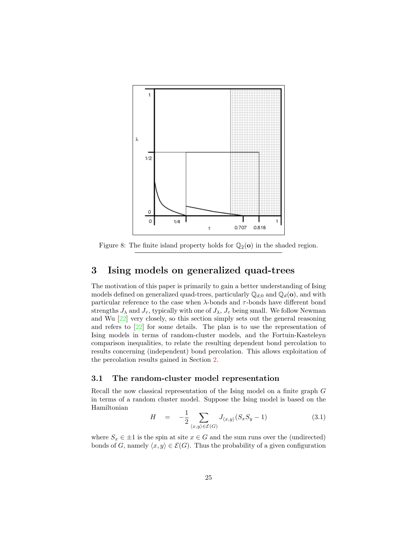

<span id="page-28-2"></span>Figure 8: The finite island property holds for  $\mathbb{Q}_2$ (o) in the shaded region.

#### <span id="page-28-0"></span>3 Ising models on generalized quad-trees

The motivation of this paper is primarily to gain a better understanding of Ising models defined on generalized quad-trees, particularly  $\mathbb{Q}_{d,0}$  and  $\mathbb{Q}_{d}(\mathbf{o})$ , and with particular reference to the case when  $\lambda$ -bonds and  $\tau$ -bonds have different bond strengths  $J_{\lambda}$  and  $J_{\tau}$ , typically with one of  $J_{\lambda}$ ,  $J_{\tau}$  being small. We follow Newman and Wu [\[22\]](#page-36-2) very closely, so this section simply sets out the general reasoning and refers to [\[22\]](#page-36-2) for some details. The plan is to use the representation of Ising models in terms of random-cluster models, and the Fortuin-Kasteleyn comparison inequalities, to relate the resulting dependent bond percolation to results concerning (independent) bond percolation. This allows exploitation of the percolation results gained in Section [2.](#page-10-1)

#### <span id="page-28-1"></span>3.1 The random-cluster model representation

Recall the now classical representation of the Ising model on a finite graph G in terms of a random cluster model. Suppose the Ising model is based on the Hamiltonian

$$
H = -\frac{1}{2} \sum_{\langle x,y \rangle \in \mathcal{E}(G)} J_{\langle x,y \rangle} (S_x S_y - 1) \tag{3.1}
$$

where  $S_x \in \pm 1$  is the spin at site  $x \in G$  and the sum runs over the (undirected) bonds of G, namely  $\langle x, y \rangle \in \mathcal{E}(G)$ . Thus the probability of a given configuration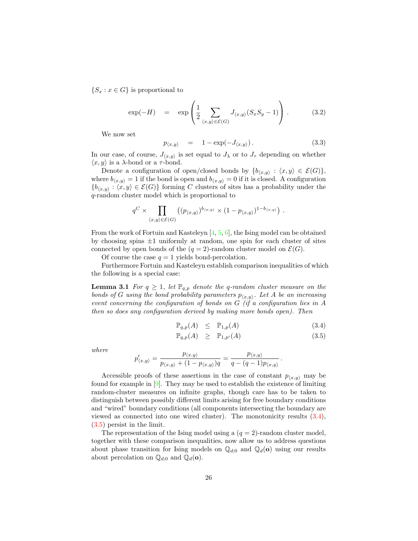${S_x : x \in G}$  is proportional to

$$
\exp(-H) = \exp\left(\frac{1}{2}\sum_{\langle x,y\rangle\in\mathcal{E}(G)}J_{\langle x,y\rangle}(S_xS_y-1)\right). \tag{3.2}
$$

We now set

<span id="page-29-2"></span>
$$
p_{\langle x,y\rangle} = 1 - \exp(-J_{\langle x,y\rangle}). \qquad (3.3)
$$

In our case, of course,  $J_{\langle x,y \rangle}$  is set equal to  $J_{\lambda}$  or to  $J_{\tau}$  depending on whether  $\langle x, y \rangle$  is a  $\lambda$ -bond or a  $\tau$ -bond.

Denote a configuration of open/closed bonds by  $\{b_{\langle x,y\rangle} : \langle x,y\rangle \in \mathcal{E}(G)\},\$ where  $b_{\langle x,y \rangle} = 1$  if the bond is open and  $b_{\langle x,y \rangle} = 0$  if it is closed. A configuration  ${b_{x,y} : (x, y) \in \mathcal{E}(G)}$  forming C clusters of sites has a probability under the q-random cluster model which is proportional to

$$
q^C \times \prod_{\langle x,y \rangle \in \mathcal{E}(G)} \left( (p_{\langle x,y \rangle})^{b_{\langle x,y \rangle}} \times (1 - p_{\langle x,y \rangle})^{1 - b_{\langle x,y \rangle}} \right) .
$$

From the work of Fortuin and Kasteleyn [\[4,](#page-35-8) [5,](#page-35-9) [6\]](#page-35-7), the Ising model can be obtained by choosing spins  $\pm 1$  uniformly at random, one spin for each cluster of sites connected by open bonds of the  $(q = 2)$ -random cluster model on  $\mathcal{E}(G)$ .

Of course the case  $q = 1$  yields bond-percolation.

Furthermore Fortuin and Kasteleyn establish comparison inequalities of which the following is a special case:

**Lemma 3.1** For  $q \geq 1$ , let  $\mathbb{P}_{q,p}$  denote the q-random cluster measure on the bonds of G using the bond probability parameters  $p_{(x,y)}$ . Let A be an increasing event concerning the configuration of bonds on G (if a configuration lies in A then so does any configuration derived by making more bonds open). Then

<span id="page-29-1"></span>
$$
\mathbb{P}_{q,p}(A) \leq \mathbb{P}_{1,p}(A) \tag{3.4}
$$

<span id="page-29-0"></span>
$$
\mathbb{P}_{q,p}(A) \geq \mathbb{P}_{1,p'}(A) \tag{3.5}
$$

where

$$
p'_{\langle x,y\rangle} = \frac{p_{\langle x,y\rangle}}{p_{\langle x,y\rangle} + (1-p_{\langle x,y\rangle})q} = \frac{p_{\langle x,y\rangle}}{q - (q-1)p_{\langle x,y\rangle}}.
$$

Accessible proofs of these assertions in the case of constant  $p_{(x,y)}$  may be found for example in [\[9\]](#page-35-12). They may be used to establish the existence of limiting random-cluster measures on infinite graphs, though care has to be taken to distinguish between possibly different limits arising for free boundary conditions and "wired" boundary conditions (all components intersecting the boundary are viewed as connected into one wired cluster). The monotonicity results [\(3.4\)](#page-29-0), [\(3.5\)](#page-29-0) persist in the limit.

The representation of the Ising model using a  $(q = 2)$ -random cluster model, together with these comparison inequalities, now allow us to address questions about phase transition for Ising models on  $\mathbb{Q}_{d;0}$  and  $\mathbb{Q}_d(\mathbf{o})$  using our results about percolation on  $\mathbb{Q}_{d;0}$  and  $\mathbb{Q}_{d}(\mathbf{o})$ .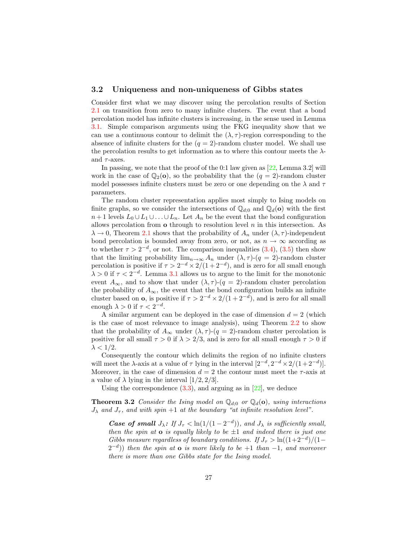#### <span id="page-30-0"></span>3.2 Uniqueness and non-uniqueness of Gibbs states

Consider first what we may discover using the percolation results of Section [2.1](#page-11-0) on transition from zero to many infinite clusters. The event that a bond percolation model has infinite clusters is increasing, in the sense used in Lemma [3.1.](#page-29-1) Simple comparison arguments using the FKG inequality show that we can use a continuous contour to delimit the  $(\lambda, \tau)$ -region corresponding to the absence of infinite clusters for the  $(q = 2)$ -random cluster model. We shall use the percolation results to get information as to where this contour meets the  $\lambda$ and  $\tau$ -axes.

In passing, we note that the proof of the 0:1 law given as  $[22, \text{Lemma } 3.2]$  will work in the case of  $\mathbb{Q}_2(\mathbf{o})$ , so the probability that the  $(q = 2)$ -random cluster model possesses infinite clusters must be zero or one depending on the  $\lambda$  and  $\tau$ parameters.

The random cluster representation applies most simply to Ising models on finite graphs, so we consider the intersections of  $\mathbb{Q}_{d,0}$  and  $\mathbb{Q}_{d}(\mathbf{o})$  with the first  $n+1$  levels  $L_0 \cup L_1 \cup \ldots \cup L_n$ . Let  $A_n$  be the event that the bond configuration allows percolation from  $\alpha$  through to resolution level n in this intersection. As  $\lambda \to 0$ , Theorem [2.1](#page-11-1) shows that the probability of  $A_n$  under  $(\lambda, \tau)$ -independent bond percolation is bounded away from zero, or not, as  $n \to \infty$  according as to whether  $\tau > 2^{-d}$ , or not. The comparison inequalities  $(3.4)$ ,  $(3.5)$  then show that the limiting probability  $\lim_{n\to\infty} A_n$  under  $(\lambda, \tau)$ - $(q = 2)$ -random cluster percolation is positive if  $\tau > 2^{-d} \times 2/(1+2^{-d})$ , and is zero for all small enough  $\lambda > 0$  if  $\tau < 2^{-d}$ . Lemma [3.1](#page-29-1) allows us to argue to the limit for the monotonic event  $A_{\infty}$ , and to show that under  $(\lambda, \tau)$ - $(q = 2)$ -random cluster percolation the probability of  $A_{\infty}$ , the event that the bond configuration builds an infinite cluster based on **o**, is positive if  $\tau > 2^{-d} \times 2/(1+2^{-d})$ , and is zero for all small enough  $\lambda > 0$  if  $\tau < 2^{-d}$ .

A similar argument can be deployed in the case of dimension  $d = 2$  (which is the case of most relevance to image analysis), using Theorem [2.2](#page-13-2) to show that the probability of  $A_{\infty}$  under  $(\lambda, \tau)$ - $(q = 2)$ -random cluster percolation is positive for all small  $\tau > 0$  if  $\lambda > 2/3$ , and is zero for all small enough  $\tau > 0$  if  $\lambda < 1/2$ .

Consequently the contour which delimits the region of no infinite clusters will meet the  $\lambda$ -axis at a value of  $\tau$  lying in the interval  $[2^{-d}, 2^{-d} \times 2/(1+2^{-d})]$ . Moreover, in the case of dimension  $d = 2$  the contour must meet the  $\tau$ -axis at a value of  $\lambda$  lying in the interval  $[1/2, 2/3]$ .

Using the correspondence  $(3.3)$ , and arguing as in  $[22]$ , we deduce

**Theorem 3.2** Consider the Ising model on  $\mathbb{Q}_{d;0}$  or  $\mathbb{Q}_{d}(\mathbf{o})$ , using interactions  $J_{\lambda}$  and  $J_{\tau}$ , and with spin +1 at the boundary "at infinite resolution level".

<span id="page-30-1"></span>**Case of small**  $J_{\lambda}$ : If  $J_{\tau} < \ln(1/(1-2^{-d}))$ , and  $J_{\lambda}$  is sufficiently small, then the spin at  $\bf{o}$  is equally likely to be  $\pm 1$  and indeed there is just one Gibbs measure regardless of boundary conditions. If  $J_{\tau} > \ln((1+2^{-d})/(1-\tau))$  $(2^{-d})$ ) then the spin at **o** is more likely to be  $+1$  than  $-1$ , and moreover there is more than one Gibbs state for the Ising model.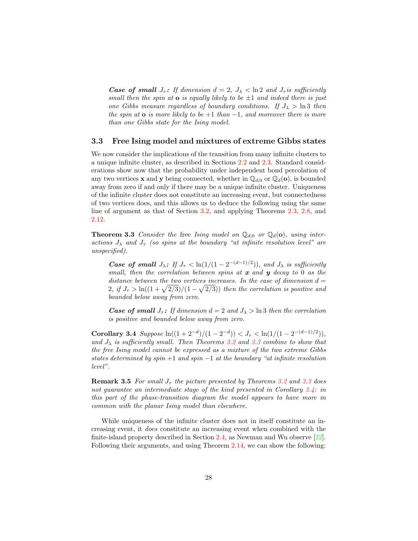**Case of small**  $J_{\tau}$ : If dimension  $d = 2$ ,  $J_{\lambda} < \ln 2$  and  $J_{\tau}$  is sufficiently small then the spin at  $\alpha$  is equally likely to be  $\pm 1$  and indeed there is just one Gibbs measure regardless of boundary conditions. If  $J_{\lambda} > \ln 3$  then the spin at  $\bf{o}$  is more likely to be  $+1$  than  $-1$ , and moreover there is more than one Gibbs state for the Ising model.

#### <span id="page-31-0"></span>3.3 Free Ising model and mixtures of extreme Gibbs states

We now consider the implications of the transition from many infinite clusters to a unique infinite cluster, as described in Sections [2.2](#page-13-0) and [2.3.](#page-17-0) Standard considerations show now that the probability under independent bond percolation of any two vertices **x** and **y** being connected, whether in  $\mathbb{Q}_{d,0}$  or  $\mathbb{Q}_{d}(\mathbf{o})$ , is bounded away from zero if and only if there may be a unique infinite cluster. Uniqueness of the infinite cluster does not constitute an increasing event, but connectedness of two vertices does, and this allows us to deduce the following using the same line of argument as that of Section [3.2,](#page-30-0) and applying Theorems [2.3,](#page-15-1) [2.8,](#page-18-0) and [2.12.](#page-23-0)

<span id="page-31-1"></span>**Theorem 3.3** Consider the free Ising model on  $\mathbb{Q}_{d,0}$  or  $\mathbb{Q}_{d}(\mathbf{o})$ , using interactions  $J_{\lambda}$  and  $J_{\tau}$  (so spins at the boundary "at infinite resolution level" are unspecified).

**Case of small**  $J_{\lambda}$ : If  $J_{\tau} < \ln(1/(1-2^{-(d-1)/2}))$ , and  $J_{\lambda}$  is sufficiently small, then the correlation between spins at  $x$  and  $y$  decay to 0 as the distance between the two vertices increases. In the case of dimension  $d =$  $2, if J_{\tau} > \ln((1+\sqrt{2/3})/(1-\sqrt{2/3}))$  then the correlation is positive and bounded below away from zero.

**Case of small**  $J_{\tau}$ : If dimension  $d = 2$  and  $J_{\lambda} > \ln 3$  then the correlation is positive and bounded below away from zero.

<span id="page-31-2"></span>Corollary 3.4 Suppose  $\ln((1+2^{-d})/(1-2^{-d})) < J_{\tau} < \ln(1/(1-2^{-(d-1)/2}))$ , and  $J_{\lambda}$  is sufficiently small. Then Theorems [3.2](#page-30-1) and [3.3](#page-31-1) combine to show that the free Ising model cannot be expressed as a mixture of the two extreme Gibbs states determined by spin  $+1$  and spin  $-1$  at the boundary "at infinite resolution level".

**Remark 3.5** For small  $J_{\tau}$  the picture presented by Theorems [3.2](#page-30-1) and [3.3](#page-31-1) does not quarantee an intermediate stage of the kind presented in Corollary [3.4:](#page-31-2) in this part of the phase-transition diagram the model appears to have more in common with the planar Ising model than elsewhere.

While uniqueness of the infinite cluster does not in itself constitute an increasing event, it does constitute an increasing event when combined with the finite-island property described in Section [2.4,](#page-26-0) as Newman and Wu observe [\[22\]](#page-36-2). Following their arguments, and using Theorem [2.14,](#page-26-2) we can show the following: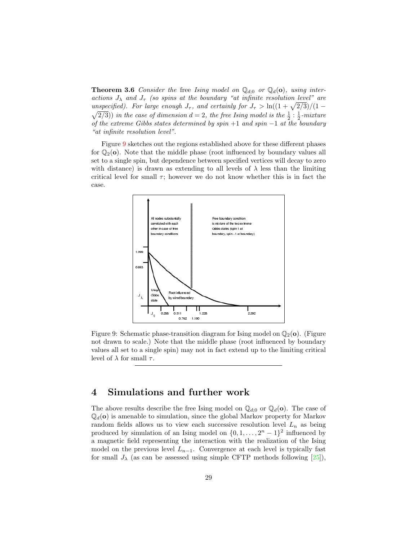**Theorem 3.6** Consider the free Ising model on  $\mathbb{Q}_{d,0}$  or  $\mathbb{Q}_{d}(\mathbf{o})$ , using interactions  $J_{\lambda}$  and  $J_{\tau}$  (so spins at the boundary "at infinite resolution level" are unspecified). For large enough  $J_{\tau}$ , and certainly for  $J_{\tau} > \ln((1 + \sqrt{2/3})/(1 \sqrt{2/3}$ ) in the case of dimension  $d=2$ , the free Ising model is the  $\frac{1}{2}$  :  $\frac{1}{2}$ -mixture of the extreme Gibbs states determined by spin  $+1$  and spin  $-1$  at the boundary "at infinite resolution level".

Figure [9](#page-32-1) sketches out the regions established above for these different phases for  $\mathbb{Q}_2(\mathbf{o})$ . Note that the middle phase (root influenced by boundary values all set to a single spin, but dependence between specified vertices will decay to zero with distance) is drawn as extending to all levels of  $\lambda$  less than the limiting critical level for small  $\tau$ ; however we do not know whether this is in fact the case.



<span id="page-32-1"></span>Figure 9: Schematic phase-transition diagram for Ising model on  $\mathbb{Q}_2(\mathbf{o})$ . (Figure not drawn to scale.) Note that the middle phase (root influenced by boundary values all set to a single spin) may not in fact extend up to the limiting critical level of  $\lambda$  for small  $\tau$ .

#### <span id="page-32-0"></span>4 Simulations and further work

The above results describe the free Ising model on  $\mathbb{Q}_{d;0}$  or  $\mathbb{Q}_{d}(\mathbf{o})$ . The case of  $\mathbb{Q}_d$ (o) is amenable to simulation, since the global Markov property for Markov random fields allows us to view each successive resolution level  $L_n$  as being produced by simulation of an Ising model on  $\{0, 1, \ldots, 2<sup>n</sup> - 1\}$ <sup>2</sup> influenced by a magnetic field representing the interaction with the realization of the Ising model on the previous level  $L_{n-1}$ . Convergence at each level is typically fast for small  $J_{\lambda}$  (as can be assessed using simple CFTP methods following [\[25\]](#page-36-13)),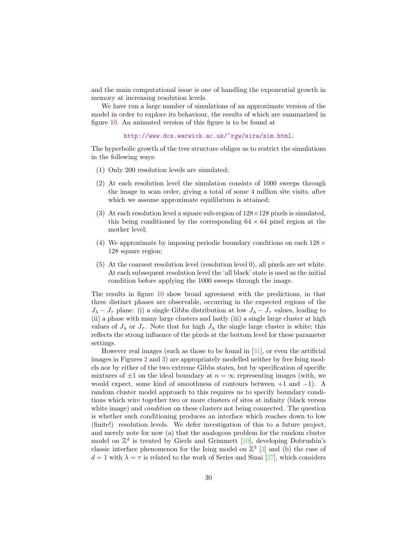and the main computational issue is one of handling the exponential growth in memory at increasing resolution levels.

We have run a large number of simulations of an approximate version of the model in order to explore its behaviour, the results of which are summarized in figure [10.](#page-34-1) An animated version of this figure is to be found at

<http://www.dcs.warwick.ac.uk/~rgw/sira/sim.html>.

The hyperbolic growth of the tree structure obliges us to restrict the simulations in the following ways:

- (1) Only 200 resolution levels are simulated;
- (2) At each resolution level the simulation consists of 1000 sweeps through the image in scan order, giving a total of some 4 million site visits, after which we assume approximate equilibrium is attained;
- (3) At each resolution level a square sub-region of  $128 \times 128$  pixels is simulated, this being conditioned by the corresponding  $64 \times 64$  pixel region at the mother level;
- (4) We approximate by imposing periodic boundary conditions on each  $128 \times$ 128 square region;
- (5) At the coarsest resolution level (resolution level 0), all pixels are set white. At each subsequent resolution level the 'all black' state is used as the initial condition before applying the 1000 sweeps through the image.

The results in figure [10](#page-34-1) show broad agreement with the predictions, in that three distinct phases are observable, occurring in the expected regions of the  $J_{\lambda} - J_{\tau}$  plane: (i) a single Gibbs distribution at low  $J_{\lambda} - J_{\tau}$  values, leading to (ii) a phase with many large clusters and lastly (iii) a single large cluster at high values of  $J_{\lambda}$  or  $J_{\tau}$ . Note that for high  $J_{\lambda}$  the single large cluster is white; this reflects the strong influence of the pixels at the bottom level for these parameter settings.

However real images (such as those to be found in [\[31\]](#page-36-11), or even the artificial images in Figures [2](#page-9-1) and [3\)](#page-10-2) are appropriately modelled neither by free Ising models nor by either of the two extreme Gibbs states, but by specification of specific mixtures of  $\pm 1$  on the ideal boundary at  $n = \infty$  representing images (with, we would expect, some kind of smoothness of contours between  $+1$  and  $-1$ ). A random cluster model approach to this requires us to specify boundary conditions which wire together two or more clusters of sites at infinity (black versus white image) and *condition* on these clusters not being connected. The question is whether such conditioning produces an interface which reaches down to low (finite!) resolution levels. We defer investigation of this to a future project, and merely note for now (a) that the analogous problem for the random cluster model on  $\mathbb{Z}^d$  is treated by Gierls and Grimmett [\[10\]](#page-35-13), developing Dobrushin's classic interface phenomenon for the Ising model on  $\mathbb{Z}^3$  [\[3\]](#page-34-4) and (b) the case of  $d = 1$  with  $\lambda = \tau$  is related to the work of Series and Sinai [\[27\]](#page-36-3), which considers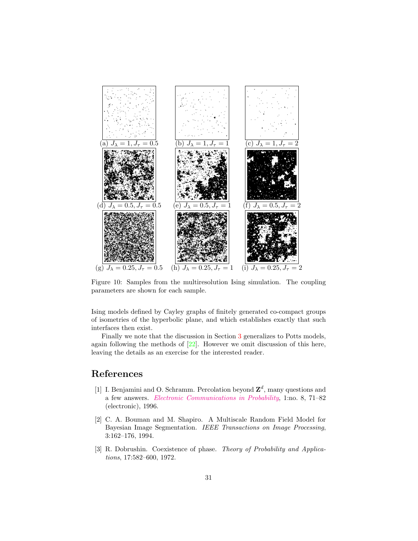

<span id="page-34-1"></span>Figure 10: Samples from the multiresolution Ising simulation. The coupling parameters are shown for each sample.

Ising models defined by Cayley graphs of finitely generated co-compact groups of isometries of the hyperbolic plane, and which establishes exactly that such interfaces then exist.

Finally we note that the discussion in Section [3](#page-28-0) generalizes to Potts models, again following the methods of  $[22]$ . However we omit discussion of this here, leaving the details as an exercise for the interested reader.

### References

- <span id="page-34-3"></span><span id="page-34-0"></span>[1] I. Benjamini and O. Schramm. Percolation beyond  $\mathbb{Z}^d$ , many questions and a few answers. [Electronic Communications in Probability](http://math.washington.edu/~ejpecp/), 1:no. 8, 71–82 (electronic), 1996.
- <span id="page-34-2"></span>[2] C. A. Bouman and M. Shapiro. A Multiscale Random Field Model for Bayesian Image Segmentation. IEEE Transactions on Image Processing, 3:162–176, 1994.
- <span id="page-34-4"></span>[3] R. Dobrushin. Coexistence of phase. Theory of Probability and Applications, 17:582–600, 1972.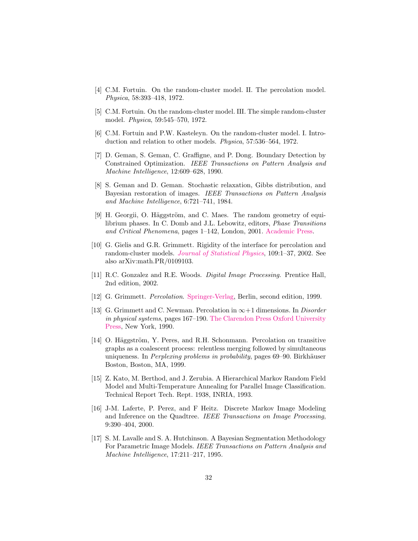- <span id="page-35-8"></span>[4] C.M. Fortuin. On the random-cluster model. II. The percolation model. Physica, 58:393–418, 1972.
- <span id="page-35-9"></span>[5] C.M. Fortuin. On the random-cluster model. III. The simple random-cluster model. Physica, 59:545–570, 1972.
- <span id="page-35-7"></span>[6] C.M. Fortuin and P.W. Kasteleyn. On the random-cluster model. I. Introduction and relation to other models. Physica, 57:536–564, 1972.
- <span id="page-35-4"></span>[7] D. Geman, S. Geman, C. Graffigne, and P. Dong. Boundary Detection by Constrained Optimization. IEEE Transactions on Pattern Analysis and Machine Intelligence, 12:609–628, 1990.
- <span id="page-35-2"></span>[8] S. Geman and D. Geman. Stochastic relaxation, Gibbs distribution, and Bayesian restoration of images. IEEE Transactions on Pattern Analysis and Machine Intelligence, 6:721–741, 1984.
- <span id="page-35-12"></span>[9] H. Georgii, O. Häggström, and C. Maes. The random geometry of equilibrium phases. In C. Domb and J.L. Lebowitz, editors, Phase Transitions and Critical Phenomena, pages 1–142, London, 2001. [Academic Press.](http://www.academicpress.com/)
- <span id="page-35-13"></span>[10] G. Gielis and G.R. Grimmett. Rigidity of the interface for percolation and random-cluster models. [Journal of Statistical Physics](http://www.kluweronline.com/issn/0022-4715), 109:1–37, 2002. See also arXiv:math.PR/0109103.
- <span id="page-35-1"></span>[11] R.C. Gonzalez and R.E. Woods. Digital Image Processing. Prentice Hall, 2nd edition, 2002.
- <span id="page-35-10"></span>[12] G. Grimmett. Percolation. [Springer-Verlag,](http://www.springer.de/) Berlin, second edition, 1999.
- <span id="page-35-0"></span>[13] G. Grimmett and C. Newman. Percolation in  $\infty+1$  dimensions. In *Disorder* in physical systems, pages 167–190. [The Clarendon Press Oxford University](http://www.oup.co.uk/) [Press,](http://www.oup.co.uk/) New York, 1990.
- <span id="page-35-11"></span> $[14]$  O. Häggström, Y. Peres, and R.H. Schonmann. Percolation on transitive graphs as a coalescent process: relentless merging followed by simultaneous uniqueness. In *Perplexing problems in probability*, pages 69–90. Birkhäuser Boston, Boston, MA, 1999.
- <span id="page-35-5"></span>[15] Z. Kato, M. Berthod, and J. Zerubia. A Hierarchical Markov Random Field Model and Multi-Temperature Annealing for Parallel Image Classification. Technical Report Tech. Rept. 1938, INRIA, 1993.
- <span id="page-35-6"></span>[16] J-M. Laferte, P. Perez, and F Heitz. Discrete Markov Image Modeling and Inference on the Quadtree. IEEE Transactions on Image Processing, 9:390–404, 2000.
- <span id="page-35-3"></span>[17] S. M. Lavalle and S. A. Hutchinson. A Bayesian Segmentation Methodology For Parametric Image Models. IEEE Transactions on Pattern Analysis and Machine Intelligence, 17:211–217, 1995.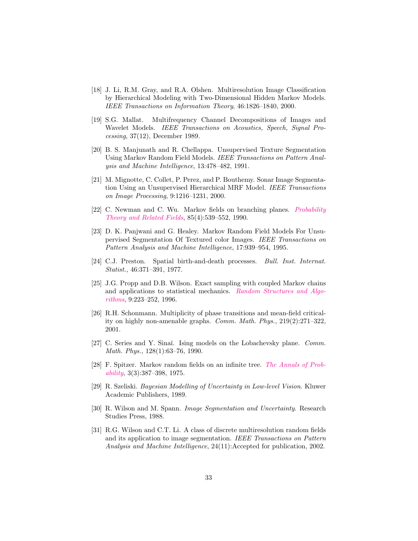- <span id="page-36-10"></span>[18] J. Li, R.M. Gray, and R.A. Olshen. Multiresolution Image Classification by Hierarchical Modeling with Two-Dimensional Hidden Markov Models. IEEE Transactions on Information Theory, 46:1826–1840, 2000.
- <span id="page-36-8"></span>[19] S.G. Mallat. Multifrequency Channel Decompositions of Images and Wavelet Models. IEEE Transactions on Acoustics, Speech, Signal Processing, 37(12), December 1989.
- <span id="page-36-5"></span>[20] B. S. Manjunath and R. Chellappa. Unsupervised Texture Segmentation Using Markov Random Field Models. IEEE Transactions on Pattern Analysis and Machine Intelligence, 13:478–482, 1991.
- <span id="page-36-9"></span>[21] M. Mignotte, C. Collet, P. Perez, and P. Bouthemy. Sonar Image Segmentation Using an Unsupervised Hierarchical MRF Model. IEEE Transactions on Image Processing, 9:1216–1231, 2000.
- <span id="page-36-2"></span>[22] C. Newman and C. Wu. Markov fields on branching planes. *[Probability](http://link.springer.de/link/service/journals/00440/index.htm)* [Theory and Related Fields](http://link.springer.de/link/service/journals/00440/index.htm), 85(4):539–552, 1990.
- <span id="page-36-6"></span>[23] D. K. Panjwani and G. Healey. Markov Random Field Models For Unsupervised Segmentation Of Textured color Images. IEEE Transactions on Pattern Analysis and Machine Intelligence, 17:939–954, 1995.
- <span id="page-36-0"></span>[24] C.J. Preston. Spatial birth-and-death processes. Bull. Inst. Internat. Statist., 46:371–391, 1977.
- <span id="page-36-13"></span>[25] J.G. Propp and D.B. Wilson. Exact sampling with coupled Markov chains and applications to statistical mechanics. [Random Structures and Algo](http://www.interscience.wiley.com/jpages/1042-9832/)[rithms](http://www.interscience.wiley.com/jpages/1042-9832/), 9:223–252, 1996.
- <span id="page-36-12"></span>[26] R.H. Schonmann. Multiplicity of phase transitions and mean-field criticality on highly non-amenable graphs. Comm. Math. Phys., 219(2):271–322, 2001.
- <span id="page-36-3"></span>[27] C. Series and Y. Sinaĭ. Ising models on the Lobachevsky plane. Comm. Math. Phys., 128(1):63–76, 1990.
- <span id="page-36-1"></span>[28] F. Spitzer. Markov random fields on an infinite tree. [The Annals of Prob](http://www.imstat.org/publications/journals/annprob/)[ability](http://www.imstat.org/publications/journals/annprob/), 3(3):387–398, 1975.
- <span id="page-36-7"></span>[29] R. Szeliski. Bayesian Modelling of Uncertainty in Low-level Vision. Kluwer Academic Publishers, 1989.
- <span id="page-36-4"></span>[30] R. Wilson and M. Spann. Image Segmentation and Uncertainty. Research Studies Press, 1988.
- <span id="page-36-11"></span>[31] R.G. Wilson and C.T. Li. A class of discrete multiresolution random fields and its application to image segmentation. IEEE Transactions on Pattern Analysis and Machine Intelligence, 24(11):Accepted for publication, 2002.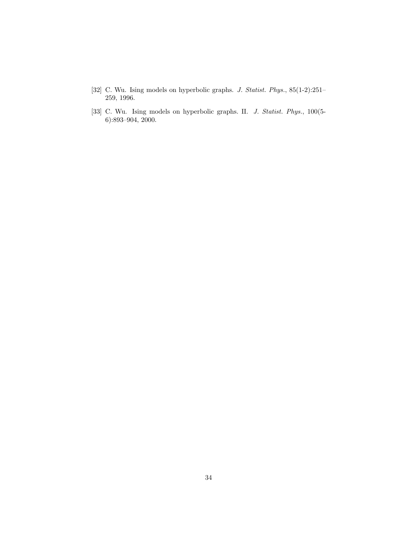- <span id="page-37-0"></span>[32] C. Wu. Ising models on hyperbolic graphs. J. Statist. Phys., 85(1-2):251– 259, 1996.
- <span id="page-37-1"></span>[33] C. Wu. Ising models on hyperbolic graphs. II. J. Statist. Phys., 100(5-6):893–904, 2000.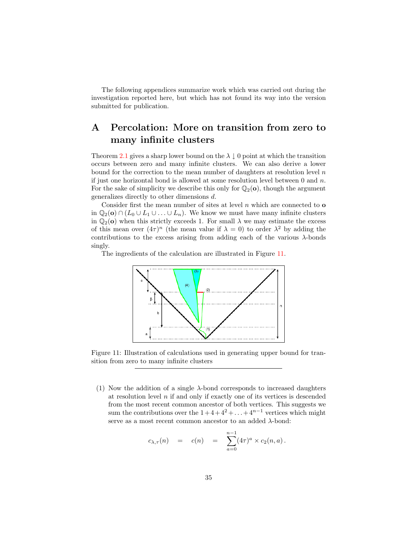The following appendices summarize work which was carried out during the investigation reported here, but which has not found its way into the version submitted for publication.

## <span id="page-38-0"></span>A Percolation: More on transition from zero to many infinite clusters

Theorem [2.1](#page-11-1) gives a sharp lower bound on the  $\lambda \downarrow 0$  point at which the transition occurs between zero and many infinite clusters. We can also derive a lower bound for the correction to the mean number of daughters at resolution level  $n$ if just one horizontal bond is allowed at some resolution level between  $0$  and  $n$ . For the sake of simplicity we describe this only for  $\mathbb{Q}_2$ (o), though the argument generalizes directly to other dimensions d.

Consider first the mean number of sites at level  $n$  which are connected to **o** in  $\mathbb{Q}_2$ (o)  $\cap$  ( $L_0 \cup L_1 \cup ... \cup L_n$ ). We know we must have many infinite clusters in  $\mathbb{Q}_2$ (o) when this strictly exceeds 1. For small  $\lambda$  we may estimate the excess of this mean over  $(4\tau)^n$  (the mean value if  $\lambda = 0$ ) to order  $\lambda^2$  by adding the contributions to the excess arising from adding each of the various  $\lambda$ -bonds singly.

The ingredients of the calculation are illustrated in Figure [11.](#page-38-1)



<span id="page-38-1"></span>Figure 11: Illustration of calculations used in generating upper bound for transition from zero to many infinite clusters

(1) Now the addition of a single  $\lambda$ -bond corresponds to increased daughters at resolution level  $n$  if and only if exactly one of its vertices is descended from the most recent common ancestor of both vertices. This suggests we sum the contributions over the  $1+4+4^2+\ldots+4^{n-1}$  vertices which might serve as a most recent common ancestor to an added  $\lambda$ -bond:

$$
c_{\lambda,\tau}(n) = c(n) = \sum_{a=0}^{n-1} (4\tau)^a \times c_2(n,a).
$$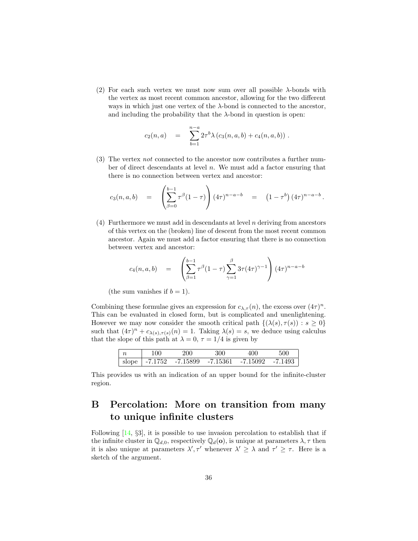(2) For each such vertex we must now sum over all possible  $\lambda$ -bonds with the vertex as most recent common ancestor, allowing for the two different ways in which just one vertex of the  $\lambda$ -bond is connected to the ancestor, and including the probability that the  $\lambda$ -bond in question is open:

$$
c_2(n,a) = \sum_{b=1}^{n-a} 2\tau^b \lambda (c_3(n,a,b) + c_4(n,a,b)).
$$

(3) The vertex not connected to the ancestor now contributes a further number of direct descendants at level n. We must add a factor ensuring that there is no connection between vertex and ancestor:

$$
c_3(n,a,b) = \left(\sum_{\beta=0}^{b-1} \tau^{\beta} (1-\tau)\right) (4\tau)^{n-a-b} = (1-\tau^b) (4\tau)^{n-a-b}.
$$

(4) Furthermore we must add in descendants at level  $n$  deriving from ancestors of this vertex on the (broken) line of descent from the most recent common ancestor. Again we must add a factor ensuring that there is no connection between vertex and ancestor:

$$
c_4(n, a, b) = \left( \sum_{\beta=1}^{b-1} \tau^{\beta} (1-\tau) \sum_{\gamma=1}^{\beta} 3\tau (4\tau)^{\gamma-1} \right) (4\tau)^{n-a-b}
$$

(the sum vanishes if  $b = 1$ ).

Combining these formulae gives an expression for  $c_{\lambda,\tau}(n)$ , the excess over  $(4\tau)^n$ . This can be evaluated in closed form, but is complicated and unenlightening. However we may now consider the smooth critical path  $\{(\lambda(s), \tau(s)) : s \geq 0\}$ such that  $(4\tau)^n + c_{\lambda(s),\tau(s)}(n) = 1$ . Taking  $\lambda(s) = s$ , we deduce using calculus that the slope of this path at  $\lambda = 0, \tau = 1/4$  is given by

| 100- | 200.                                                         | 300 | 400 | 500 |
|------|--------------------------------------------------------------|-----|-----|-----|
|      | slope   $-7.1752$ $-7.15899$ $-7.15361$ $-7.15092$ $-7.1493$ |     |     |     |

This provides us with an indication of an upper bound for the infinite-cluster region.

## <span id="page-39-0"></span>B Percolation: More on transition from many to unique infinite clusters

Following [\[14,](#page-35-11) §3], it is possible to use invasion percolation to establish that if the infinite cluster in  $\mathbb{Q}_{d,0}$ , respectively  $\mathbb{Q}_{d}(\mathbf{o})$ , is unique at parameters  $\lambda, \tau$  then it is also unique at parameters  $\lambda', \tau'$  whenever  $\lambda' \geq \lambda$  and  $\tau' \geq \tau$ . Here is a sketch of the argument.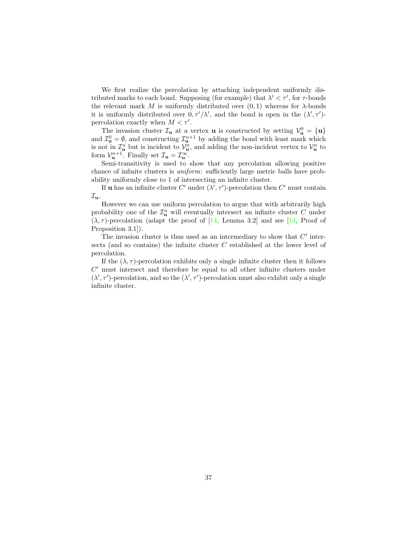We first realize the percolation by attaching independent uniformly distributed marks to each bond. Supposing (for example) that  $\lambda' < \tau'$ , for  $\tau$ -bonds the relevant mark M is uniformly distributed over  $(0, 1)$  whereas for  $\lambda$ -bonds it is uniformly distributed over  $0, \tau'/\lambda'$ , and the bond is open in the  $(\lambda', \tau')$ percolation exactly when  $M < \tau'$ .

The invasion cluster  $\mathcal{I}_{\mathbf{u}}$  at a vertex **u** is constructed by setting  $\mathcal{V}_{\mathbf{u}}^0 = {\mathbf{u}}$ and  $\mathcal{I}_{\mathbf{u}}^0 = \emptyset$ , and constructing  $\mathcal{I}_{\mathbf{u}}^{n+1}$  by adding the bond with least mark which is not in  $\mathcal{I}_{\mathbf{u}}^n$  but is incident to  $\mathcal{V}_{\mathbf{u}}^n$ , and adding the non-incident vertex to  $\mathcal{V}_{\mathbf{u}}^n$  to form  $\mathcal{V}_{\mathbf{u}}^{n+1}$ . Finally set  $\mathcal{I}_{\mathbf{u}} = \mathcal{I}_{\mathbf{u}}^{\infty}$ .

Semi-transitivity is used to show that any percolation allowing positive chance of infinite clusters is uniform: sufficiently large metric balls have probability uniformly close to 1 of intersecting an infinite cluster.

If **u** has an infinite cluster C' under  $(\lambda', \tau')$ -percolation then C' must contain  $\mathcal{I}_{\mathbf{u}}$ .

However we can use uniform percolation to argue that with arbitrarily high probability one of the  $\mathcal{I}_{\mathbf{u}}^n$  will eventually intersect an infinite cluster C under  $(\lambda, \tau)$ -percolation (adapt the proof of [\[14,](#page-35-11) Lemma 3.2] and see [14, Proof of Proposition 3.1]).

The invasion cluster is thus used as an intermediary to show that  $C'$  intersects (and so contains) the infinite cluster C established at the lower level of percolation.

If the  $(\lambda, \tau)$ -percolation exhibits only a single infinite cluster then it follows  $C'$  must intersect and therefore be equal to all other infinite clusters under  $(\lambda', \tau')$ -percolation, and so the  $(\lambda', \tau')$ -percolation must also exhibit only a single infinite cluster.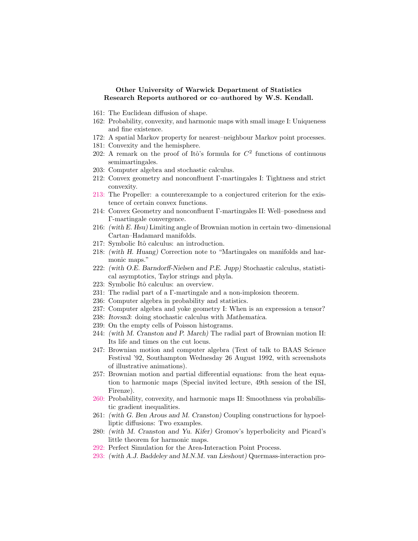#### Other University of Warwick Department of Statistics Research Reports authored or co–authored by W.S. Kendall.

- 161: The Euclidean diffusion of shape.
- 162: Probability, convexity, and harmonic maps with small image I: Uniqueness and fine existence.
- 172: A spatial Markov property for nearest–neighbour Markov point processes.
- 181: Convexity and the hemisphere.
- 202: A remark on the proof of Itô's formula for  $C^2$  functions of continuous semimartingales.
- 203: Computer algebra and stochastic calculus.
- 212: Convex geometry and nonconfluent Γ-martingales I: Tightness and strict convexity.
- [213:](http://www.warwick.ac.uk/statsdept/Staff/WSK/papers/213.ps.gz) The Propeller: a counterexample to a conjectured criterion for the existence of certain convex functions.
- 214: Convex Geometry and nonconfluent Γ-martingales II: Well–posedness and Γ-martingale convergence.
- 216: (with E. Hsu) Limiting angle of Brownian motion in certain two–dimensional Cartan–Hadamard manifolds.
- 217: Symbolic Itô calculus: an introduction.
- 218: (with H. Huang) Correction note to "Martingales on manifolds and harmonic maps."
- 222: (with O.E. Barndorff-Nielsen and P.E. Jupp) Stochastic calculus, statistical asymptotics, Taylor strings and phyla.
- 223: Symbolic Itô calculus: an overview.
- 231: The radial part of a Γ-martingale and a non-implosion theorem.
- 236: Computer algebra in probability and statistics.
- 237: Computer algebra and yoke geometry I: When is an expression a tensor?
- 238: Itovsn3: doing stochastic calculus with Mathematica.
- 239: On the empty cells of Poisson histograms.
- 244: (with M. Cranston and P. March) The radial part of Brownian motion II: Its life and times on the cut locus.
- 247: Brownian motion and computer algebra (Text of talk to BAAS Science Festival '92, Southampton Wednesday 26 August 1992, with screenshots of illustrative animations).
- 257: Brownian motion and partial differential equations: from the heat equation to harmonic maps (Special invited lecture, 49th session of the ISI, Firenze).
- [260:](http://www.warwick.ac.uk/statsdept/Staff/WSK/papers/260.ps.gz) Probability, convexity, and harmonic maps II: Smoothness via probabilistic gradient inequalities.
- 261: (with G. Ben Arous and M. Cranston) Coupling constructions for hypoelliptic diffusions: Two examples.
- 280: (with M. Cranston and Yu. Kifer) Gromov's hyperbolicity and Picard's little theorem for harmonic maps.
- [292:](http://www.warwick.ac.uk/statsdept/Staff/WSK/papers/292.ps.gz) Perfect Simulation for the Area-Interaction Point Process.
- [293:](http://www.warwick.ac.uk/statsdept/Staff/WSK/papers/293.ps.gz) (with A.J. Baddeley and M.N.M. van Lieshout) Quermass-interaction pro-